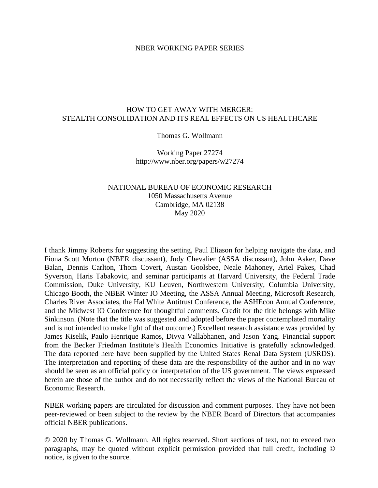#### NBER WORKING PAPER SERIES

### HOW TO GET AWAY WITH MERGER: STEALTH CONSOLIDATION AND ITS REAL EFFECTS ON US HEALTHCARE

#### Thomas G. Wollmann

Working Paper 27274 http://www.nber.org/papers/w27274

## NATIONAL BUREAU OF ECONOMIC RESEARCH 1050 Massachusetts Avenue Cambridge, MA 02138 May 2020

I thank Jimmy Roberts for suggesting the setting, Paul Eliason for helping navigate the data, and Fiona Scott Morton (NBER discussant), Judy Chevalier (ASSA discussant), John Asker, Dave Balan, Dennis Carlton, Thom Covert, Austan Goolsbee, Neale Mahoney, Ariel Pakes, Chad Syverson, Haris Tabakovic, and seminar participants at Harvard University, the Federal Trade Commission, Duke University, KU Leuven, Northwestern University, Columbia University, Chicago Booth, the NBER Winter IO Meeting, the ASSA Annual Meeting, Microsoft Research, Charles River Associates, the Hal White Antitrust Conference, the ASHEcon Annual Conference, and the Midwest IO Conference for thoughtful comments. Credit for the title belongs with Mike Sinkinson. (Note that the title was suggested and adopted before the paper contemplated mortality and is not intended to make light of that outcome.) Excellent research assistance was provided by James Kiselik, Paulo Henrique Ramos, Divya Vallabhanen, and Jason Yang. Financial support from the Becker Friedman Institute's Health Economics Initiative is gratefully acknowledged. The data reported here have been supplied by the United States Renal Data System (USRDS). The interpretation and reporting of these data are the responsibility of the author and in no way should be seen as an official policy or interpretation of the US government. The views expressed herein are those of the author and do not necessarily reflect the views of the National Bureau of Economic Research.

NBER working papers are circulated for discussion and comment purposes. They have not been peer-reviewed or been subject to the review by the NBER Board of Directors that accompanies official NBER publications.

© 2020 by Thomas G. Wollmann. All rights reserved. Short sections of text, not to exceed two paragraphs, may be quoted without explicit permission provided that full credit, including © notice, is given to the source.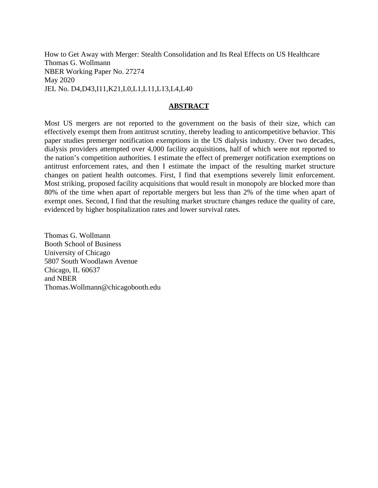How to Get Away with Merger: Stealth Consolidation and Its Real Effects on US Healthcare Thomas G. Wollmann NBER Working Paper No. 27274 May 2020 JEL No. D4,D43,I11,K21,L0,L1,L11,L13,L4,L40

### **ABSTRACT**

Most US mergers are not reported to the government on the basis of their size, which can effectively exempt them from antitrust scrutiny, thereby leading to anticompetitive behavior. This paper studies premerger notification exemptions in the US dialysis industry. Over two decades, dialysis providers attempted over 4,000 facility acquisitions, half of which were not reported to the nation's competition authorities. I estimate the effect of premerger notification exemptions on antitrust enforcement rates, and then I estimate the impact of the resulting market structure changes on patient health outcomes. First, I find that exemptions severely limit enforcement. Most striking, proposed facility acquisitions that would result in monopoly are blocked more than 80% of the time when apart of reportable mergers but less than 2% of the time when apart of exempt ones. Second, I find that the resulting market structure changes reduce the quality of care, evidenced by higher hospitalization rates and lower survival rates.

Thomas G. Wollmann Booth School of Business University of Chicago 5807 South Woodlawn Avenue Chicago, IL 60637 and NBER Thomas.Wollmann@chicagobooth.edu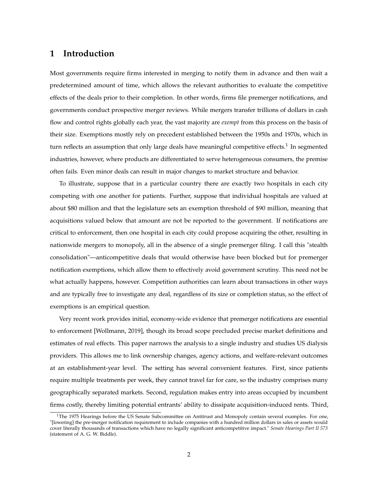## **1 Introduction**

Most governments require firms interested in merging to notify them in advance and then wait a predetermined amount of time, which allows the relevant authorities to evaluate the competitive effects of the deals prior to their completion. In other words, firms file premerger notifications, and governments conduct prospective merger reviews. While mergers transfer trillions of dollars in cash flow and control rights globally each year, the vast majority are *exempt* from this process on the basis of their size. Exemptions mostly rely on precedent established between the 1950s and 1970s, which in turn reflects an assumption that only large deals have meaningful competitive effects.<sup>1</sup> In segmented industries, however, where products are differentiated to serve heterogeneous consumers, the premise often fails. Even minor deals can result in major changes to market structure and behavior.

To illustrate, suppose that in a particular country there are exactly two hospitals in each city competing with one another for patients. Further, suppose that individual hospitals are valued at about \$80 million and that the legislature sets an exemption threshold of \$90 million, meaning that acquisitions valued below that amount are not be reported to the government. If notifications are critical to enforcement, then one hospital in each city could propose acquiring the other, resulting in nationwide mergers to monopoly, all in the absence of a single premerger filing. I call this "stealth consolidation"—anticompetitive deals that would otherwise have been blocked but for premerger notification exemptions, which allow them to effectively avoid government scrutiny. This need not be what actually happens, however. Competition authorities can learn about transactions in other ways and are typically free to investigate any deal, regardless of its size or completion status, so the effect of exemptions is an empirical question.

Very recent work provides initial, economy-wide evidence that premerger notifications are essential to enforcement [Wollmann, 2019], though its broad scope precluded precise market definitions and estimates of real effects. This paper narrows the analysis to a single industry and studies US dialysis providers. This allows me to link ownership changes, agency actions, and welfare-relevant outcomes at an establishment-year level. The setting has several convenient features. First, since patients require multiple treatments per week, they cannot travel far for care, so the industry comprises many geographically separated markets. Second, regulation makes entry into areas occupied by incumbent firms costly, thereby limiting potential entrants' ability to dissipate acquisition-induced rents. Third,

 $1$ The 1975 Hearings before the US Senate Subcommittee on Antitrust and Monopoly contain several examples. For one, "[lowering] the pre-merger notification requirement to include companies with a hundred million dollars in sales or assets would cover literally thousands of transactions which have no legally significant anticompetitive impact." *Senate Hearings Part II 573* (statement of A. G. W. Biddle).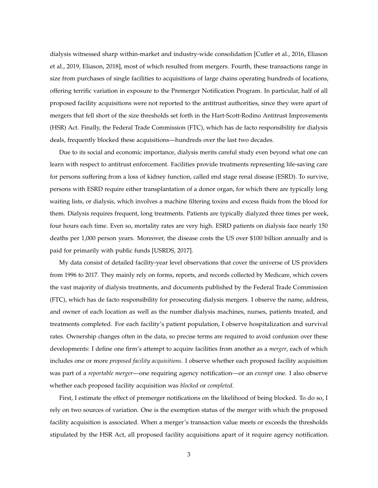dialysis witnessed sharp within-market and industry-wide consolidation [Cutler et al., 2016, Eliason et al., 2019, Eliason, 2018], most of which resulted from mergers. Fourth, these transactions range in size from purchases of single facilities to acquisitions of large chains operating hundreds of locations, offering terrific variation in exposure to the Premerger Notification Program. In particular, half of all proposed facility acquisitions were not reported to the antitrust authorities, since they were apart of mergers that fell short of the size thresholds set forth in the Hart-Scott-Rodino Antitrust Improvements (HSR) Act. Finally, the Federal Trade Commission (FTC), which has de facto responsibility for dialysis deals, frequently blocked these acquisitions—hundreds over the last two decades.

Due to its social and economic importance, dialysis merits careful study even beyond what one can learn with respect to antitrust enforcement. Facilities provide treatments representing life-saving care for persons suffering from a loss of kidney function, called end stage renal disease (ESRD). To survive, persons with ESRD require either transplantation of a donor organ, for which there are typically long waiting lists, or dialysis, which involves a machine filtering toxins and excess fluids from the blood for them. Dialysis requires frequent, long treatments. Patients are typically dialyzed three times per week, four hours each time. Even so, mortality rates are very high. ESRD patients on dialysis face nearly 150 deaths per 1,000 person years. Moreover, the disease costs the US over \$100 billion annually and is paid for primarily with public funds [USRDS, 2017].

My data consist of detailed facility-year level observations that cover the universe of US providers from 1996 to 2017. They mainly rely on forms, reports, and records collected by Medicare, which covers the vast majority of dialysis treatments, and documents published by the Federal Trade Commission (FTC), which has de facto responsibility for prosecuting dialysis mergers. I observe the name, address, and owner of each location as well as the number dialysis machines, nurses, patients treated, and treatments completed. For each facility's patient population, I observe hospitalization and survival rates. Ownership changes often in the data, so precise terms are required to avoid confusion over these developments: I define one firm's attempt to acquire facilities from another as a *merger*, each of which includes one or more *proposed facility acquisitions*. I observe whether each proposed facility acquisition was part of a *reportable merger*—one requiring agency notification—or an *exempt* one. I also observe whether each proposed facility acquisition was *blocked* or *completed*.

First, I estimate the effect of premerger notifications on the likelihood of being blocked. To do so, I rely on two sources of variation. One is the exemption status of the merger with which the proposed facility acquisition is associated. When a merger's transaction value meets or exceeds the thresholds stipulated by the HSR Act, all proposed facility acquisitions apart of it require agency notification.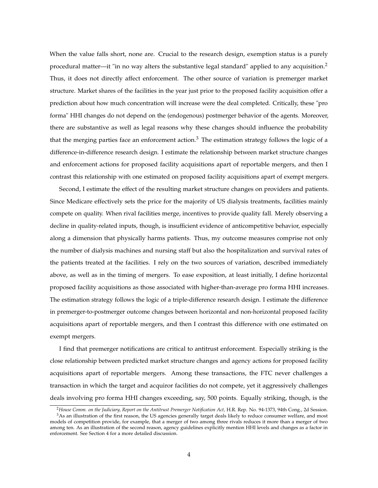When the value falls short, none are. Crucial to the research design, exemption status is a purely procedural matter—it "in no way alters the substantive legal standard" applied to any acquisition.<sup>2</sup> Thus, it does not directly affect enforcement. The other source of variation is premerger market structure. Market shares of the facilities in the year just prior to the proposed facility acquisition offer a prediction about how much concentration will increase were the deal completed. Critically, these "pro forma" HHI changes do not depend on the (endogenous) postmerger behavior of the agents. Moreover, there are substantive as well as legal reasons why these changes should influence the probability that the merging parties face an enforcement action.<sup>3</sup> The estimation strategy follows the logic of a difference-in-difference research design. I estimate the relationship between market structure changes and enforcement actions for proposed facility acquisitions apart of reportable mergers, and then I contrast this relationship with one estimated on proposed facility acquisitions apart of exempt mergers.

Second, I estimate the effect of the resulting market structure changes on providers and patients. Since Medicare effectively sets the price for the majority of US dialysis treatments, facilities mainly compete on quality. When rival facilities merge, incentives to provide quality fall. Merely observing a decline in quality-related inputs, though, is insufficient evidence of anticompetitive behavior, especially along a dimension that physically harms patients. Thus, my outcome measures comprise not only the number of dialysis machines and nursing staff but also the hospitalization and survival rates of the patients treated at the facilities. I rely on the two sources of variation, described immediately above, as well as in the timing of mergers. To ease exposition, at least initially, I define horizontal proposed facility acquisitions as those associated with higher-than-average pro forma HHI increases. The estimation strategy follows the logic of a triple-difference research design. I estimate the difference in premerger-to-postmerger outcome changes between horizontal and non-horizontal proposed facility acquisitions apart of reportable mergers, and then I contrast this difference with one estimated on exempt mergers.

I find that premerger notifications are critical to antitrust enforcement. Especially striking is the close relationship between predicted market structure changes and agency actions for proposed facility acquisitions apart of reportable mergers. Among these transactions, the FTC never challenges a transaction in which the target and acquiror facilities do not compete, yet it aggressively challenges deals involving pro forma HHI changes exceeding, say, 500 points. Equally striking, though, is the

<sup>2</sup>*House Comm. on the Judiciary, Report on the Antitrust Premerger Notification Act,* H.R. Rep. No. 94-1373, 94th Cong., 2d Session.

<sup>&</sup>lt;sup>3</sup>As an illustration of the first reason, the US agencies generally target deals likely to reduce consumer welfare, and most models of competition provide, for example, that a merger of two among three rivals reduces it more than a merger of two among ten. As an illustration of the second reason, agency guidelines explicitly mention HHI levels and changes as a factor in enforcement. See Section 4 for a more detailed discussion.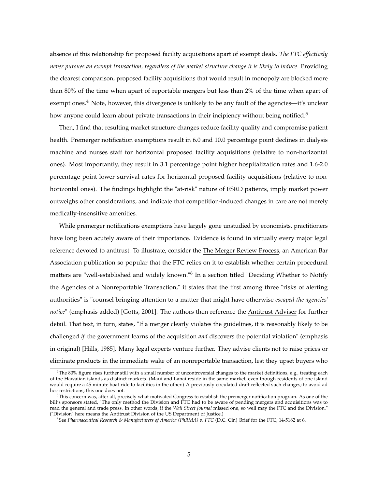absence of this relationship for proposed facility acquisitions apart of exempt deals. *The FTC effectively never pursues an exempt transaction, regardless of the market structure change it is likely to induce.* Providing the clearest comparison, proposed facility acquisitions that would result in monopoly are blocked more than 80% of the time when apart of reportable mergers but less than 2% of the time when apart of exempt ones.<sup>4</sup> Note, however, this divergence is unlikely to be any fault of the agencies—it's unclear how anyone could learn about private transactions in their incipiency without being notified.<sup>5</sup>

Then, I find that resulting market structure changes reduce facility quality and compromise patient health. Premerger notification exemptions result in 6.0 and 10.0 percentage point declines in dialysis machine and nurses staff for horizontal proposed facility acquisitions (relative to non-horizontal ones). Most importantly, they result in 3.1 percentage point higher hospitalization rates and 1.6-2.0 percentage point lower survival rates for horizontal proposed facility acquisitions (relative to nonhorizontal ones). The findings highlight the "at-risk" nature of ESRD patients, imply market power outweighs other considerations, and indicate that competition-induced changes in care are not merely medically-insensitive amenities.

While premerger notifications exemptions have largely gone unstudied by economists, practitioners have long been acutely aware of their importance. Evidence is found in virtually every major legal reference devoted to antitrust. To illustrate, consider the The Merger Review Process, an American Bar Association publication so popular that the FTC relies on it to establish whether certain procedural matters are "well-established and widely known."<sup>6</sup> In a section titled "Deciding Whether to Notify the Agencies of a Nonreportable Transaction," it states that the first among three "risks of alerting authorities" is "counsel bringing attention to a matter that might have otherwise *escaped the agencies' notice*" (emphasis added) [Gotts, 2001]. The authors then reference the Antitrust Adviser for further detail. That text, in turn, states, "If a merger clearly violates the guidelines, it is reasonably likely to be challenged *if* the government learns of the acquisition *and* discovers the potential violation" (emphasis in original) [Hills, 1985]. Many legal experts venture further. They advise clients not to raise prices or eliminate products in the immediate wake of an nonreportable transaction, lest they upset buyers who

<sup>&</sup>lt;sup>4</sup>The 80% figure rises further still with a small number of uncontroversial changes to the market definitions, e.g., treating each of the Hawaiian islands as distinct markets. (Maui and Lanai reside in the same market, even though residents of one island would require a 45 minute boat ride to facilities in the other.) A previously circulated draft reflected such changes; to avoid ad hoc restrictions, this one does not.

<sup>5</sup>This concern was, after all, precisely what motivated Congress to establish the premerger notification program. As one of the bill's sponsors stated, "The only method the Division and FTC had to be aware of pending mergers and acquisitions was to read the general and trade press. In other words, if the *Wall Street Journal* missed one, so well may the FTC and the Division." ("Division" here means the Antitrust Division of the US Department of Justice.)

<sup>6</sup>See *Pharmaceutical Research & Manufacturers of America (PhRMA) v. FTC* (D.C. Cir.) Brief for the FTC, 14-5182 at 6.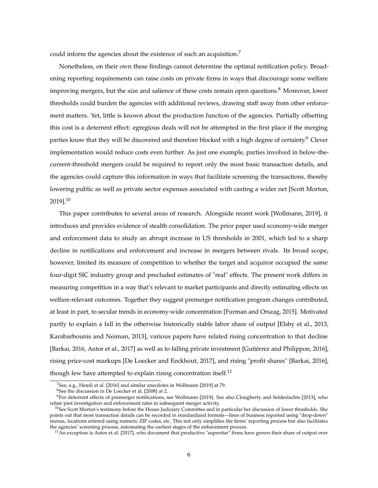could inform the agencies about the existence of such an acquisition.<sup>7</sup>

Nonetheless, on their own these findings cannot determine the optimal notification policy. Broadening reporting requirements can raise costs on private firms in ways that discourage some welfare improving mergers, but the size and salience of these costs remain open questions. $8$  Moreover, lower thresholds could burden the agencies with additional reviews, drawing staff away from other enforcement matters. Yet, little is known about the production function of the agencies. Partially offsetting this cost is a deterrent effect: egregious deals will not be attempted in the first place if the merging parties know that they will be discovered and therefore blocked with a high degree of certainty.<sup>9</sup> Clever implementation would reduce costs even further. As just one example, parties involved in below-thecurrent-threshold mergers could be required to report only the most basic transaction details, and the agencies could capture this information in ways that facilitate screening the transactions, thereby lowering public as well as private sector expenses associated with casting a wider net [Scott Morton, 2019].<sup>10</sup>

This paper contributes to several areas of research. Alongside recent work [Wollmann, 2019], it introduces and provides evidence of stealth consolidation. The prior paper used economy-wide merger and enforcement data to study an abrupt increase in US thresholds in 2001, which led to a sharp decline in notifications and enforcement and increase in mergers between rivals. Its broad scope, however, limited its measure of competition to whether the target and acquiror occupied the same four-digit SIC industry group and precluded estimates of "real" effects. The present work differs in measuring competition in a way that's relevant to market participants and directly estimating effects on welfare-relevant outcomes. Together they suggest premerger notification program changes contributed, at least in part, to secular trends in economy-wide concentration [Furman and Orszag, 2015]. Motivated partly to explain a fall in the otherwise historically stable labor share of output [Elsby et al., 2013, Karabarbounis and Neiman, 2013], various papers have related rising concentration to that decline [Barkai, 2016, Autor et al., 2017] as well as to falling private investment [Gutiérrez and Philippon, 2016], rising price-cost markups [De Loecker and Eeckhout, 2017], and rising "profit shares" [Barkai, 2016], though few have attempted to explain rising concentration itself.<sup>11</sup>

<sup>7</sup>See, e.g., Hemli et al. [2016] and similar anecdotes in Wollmann [2019] at 79.

<sup>8</sup>See the discussion in De Loecker et al. [2008] at 2.

 $9$ For deterrent effects of premerger notifications, see Wollmann [2019]. See also Clougherty and Seldeslachts [2013], who relate past investigation and enforcement rates to subsequent merger activity.

 $10$ See Scott Morton's testimony before the House Judiciary Committee and in particular her discussion of lower thresholds. She points out that most transaction details can be recorded in standardized formats—lines of business reported using "drop-down" menus, locations entered using numeric ZIP codes, etc. This not only simplifies the firms' reporting process but also facilitates the agencies' screening process, automating the earliest stages of the enforcement process.

 $11$ An exception is Autor et al. [2017], who document that productive "superstar" firms have grown their share of output over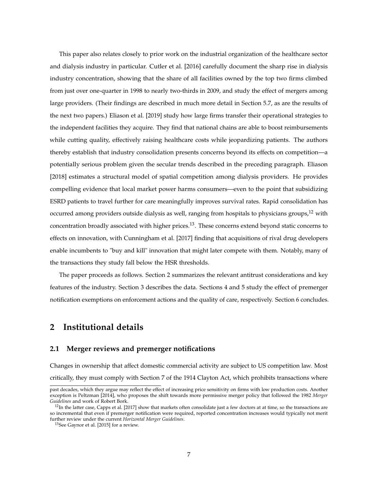This paper also relates closely to prior work on the industrial organization of the healthcare sector and dialysis industry in particular. Cutler et al. [2016] carefully document the sharp rise in dialysis industry concentration, showing that the share of all facilities owned by the top two firms climbed from just over one-quarter in 1998 to nearly two-thirds in 2009, and study the effect of mergers among large providers. (Their findings are described in much more detail in Section 5.7, as are the results of the next two papers.) Eliason et al. [2019] study how large firms transfer their operational strategies to the independent facilities they acquire. They find that national chains are able to boost reimbursements while cutting quality, effectively raising healthcare costs while jeopardizing patients. The authors thereby establish that industry consolidation presents concerns beyond its effects on competition—a potentially serious problem given the secular trends described in the preceding paragraph. Eliason [2018] estimates a structural model of spatial competition among dialysis providers. He provides compelling evidence that local market power harms consumers—even to the point that subsidizing ESRD patients to travel further for care meaningfully improves survival rates. Rapid consolidation has occurred among providers outside dialysis as well, ranging from hospitals to physicians groups,<sup>12</sup> with concentration broadly associated with higher prices.<sup>13</sup>. These concerns extend beyond static concerns to effects on innovation, with Cunningham et al. [2017] finding that acquisitions of rival drug developers enable incumbents to "buy and kill" innovation that might later compete with them. Notably, many of the transactions they study fall below the HSR thresholds.

The paper proceeds as follows. Section 2 summarizes the relevant antitrust considerations and key features of the industry. Section 3 describes the data. Sections 4 and 5 study the effect of premerger notification exemptions on enforcement actions and the quality of care, respectively. Section 6 concludes.

## **2 Institutional details**

#### **2.1 Merger reviews and premerger notifications**

Changes in ownership that affect domestic commercial activity are subject to US competition law. Most critically, they must comply with Section 7 of the 1914 Clayton Act, which prohibits transactions where

past decades, which they argue may reflect the effect of increasing price sensitivity on firms with low production costs. Another exception is Peltzman [2014], who proposes the shift towards more permissive merger policy that followed the 1982 *Merger Guidelines* and work of Robert Bork.

 $^{12}$ In the latter case, Capps et al. [2017] show that markets often consolidate just a few doctors at at time, so the transactions are so incremental that even if premerger notification were required, reported concentration increases would typically not merit further review under the current *Horizontal Merger Guidelines*.

<sup>&</sup>lt;sup>13</sup>See Gaynor et al. [2015] for a review.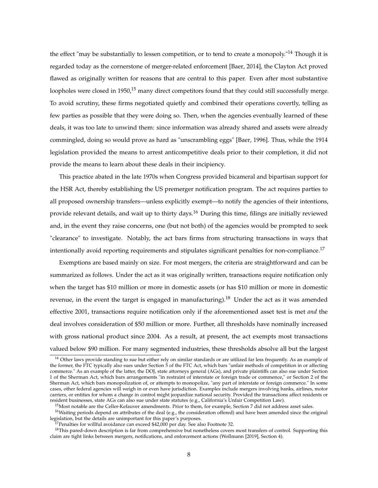the effect "may be substantially to lessen competition, or to tend to create a monopoly."<sup>14</sup> Though it is regarded today as the cornerstone of merger-related enforcement [Baer, 2014], the Clayton Act proved flawed as originally written for reasons that are central to this paper. Even after most substantive loopholes were closed in 1950,<sup>15</sup> many direct competitors found that they could still successfully merge. To avoid scrutiny, these firms negotiated quietly and combined their operations covertly, telling as few parties as possible that they were doing so. Then, when the agencies eventually learned of these deals, it was too late to unwind them: since information was already shared and assets were already commingled, doing so would prove as hard as "unscrambling eggs" [Baer, 1996]. Thus, while the 1914 legislation provided the means to arrest anticompetitive deals prior to their completion, it did not provide the means to learn about these deals in their incipiency.

This practice abated in the late 1970s when Congress provided bicameral and bipartisan support for the HSR Act, thereby establishing the US premerger notification program. The act requires parties to all proposed ownership transfers—unless explicitly exempt—to notify the agencies of their intentions, provide relevant details, and wait up to thirty days.<sup>16</sup> During this time, filings are initially reviewed and, in the event they raise concerns, one (but not both) of the agencies would be prompted to seek "clearance" to investigate. Notably, the act bars firms from structuring transactions in ways that intentionally avoid reporting requirements and stipulates significant penalties for non-compliance.<sup>17</sup>

Exemptions are based mainly on size. For most mergers, the criteria are straightforward and can be summarized as follows. Under the act as it was originally written, transactions require notification only when the target has \$10 million or more in domestic assets (or has \$10 million or more in domestic revenue, in the event the target is engaged in manufacturing).<sup>18</sup> Under the act as it was amended effective 2001, transactions require notification only if the aforementioned asset test is met *and* the deal involves consideration of \$50 million or more. Further, all thresholds have nominally increased with gross national product since 2004. As a result, at present, the act exempts most transactions valued below \$90 million. For many segmented industries, these thresholds absolve all but the largest

<sup>16</sup>Waiting periods depend on attributes of the deal (e.g., the consideration offered) and have been amended since the original legislation, but the details are unimportant for this paper's purposes.

<sup>&</sup>lt;sup>14</sup> Other laws provide standing to sue but either rely on similar standards or are utilized far less frequently. As an example of the former, the FTC typically also sues under Section 5 of the FTC Act, which bars "unfair methods of competition in or affecting commerce." As an example of the latter, the DOJ, state attorneys general (AGs), and private plaintiffs can also sue under Section 1 of the Sherman Act, which bars arrangements "in restraint of interstate or foreign trade or commence," or Section 2 of the Sherman Act, which bars monopolization of, or attempts to monopolize, "any part of interstate or foreign commerce." In some cases, other federal agencies will weigh in or even have jurisdiction. Examples include mergers involving banks, airlines, motor carriers, or entities for whom a change in control might jeopardize national security. Provided the transactions affect residents or resident businesses, state AGs can also sue under state statutes (e.g., California's Unfair Competition Law).

<sup>&</sup>lt;sup>15</sup>Most notable are the Celler-Kefauver amendments. Prior to them, for example, Section 7 did not address asset sales.

<sup>&</sup>lt;sup>17</sup>Penalties for willful avoidance can exceed \$42,000 per day. See also Footnote 32.

<sup>&</sup>lt;sup>18</sup>This pared-down description is far from comprehensive but nonetheless covers most transfers of control. Supporting this claim are tight links between mergers, notifications, and enforcement actions (Wollmann [2019], Section 4).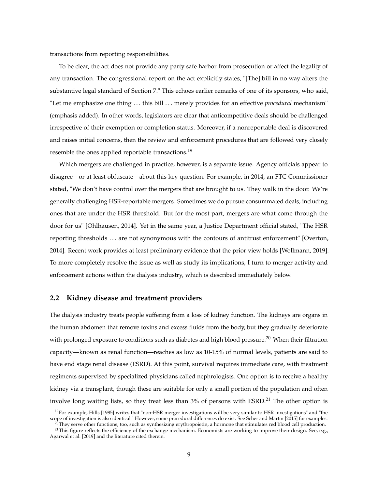transactions from reporting responsibilities.

To be clear, the act does not provide any party safe harbor from prosecution or affect the legality of any transaction. The congressional report on the act explicitly states, "[The] bill in no way alters the substantive legal standard of Section 7." This echoes earlier remarks of one of its sponsors, who said, "Let me emphasize one thing . . . this bill . . . merely provides for an effective *procedural* mechanism" (emphasis added). In other words, legislators are clear that anticompetitive deals should be challenged irrespective of their exemption or completion status. Moreover, if a nonreportable deal is discovered and raises initial concerns, then the review and enforcement procedures that are followed very closely resemble the ones applied reportable transactions.<sup>19</sup>

Which mergers are challenged in practice, however, is a separate issue. Agency officials appear to disagree—or at least obfuscate—about this key question. For example, in 2014, an FTC Commissioner stated, "We don't have control over the mergers that are brought to us. They walk in the door. We're generally challenging HSR-reportable mergers. Sometimes we do pursue consummated deals, including ones that are under the HSR threshold. But for the most part, mergers are what come through the door for us" [Ohlhausen, 2014]. Yet in the same year, a Justice Department official stated, "The HSR reporting thresholds . . . are not synonymous with the contours of antitrust enforcement" [Overton, 2014]. Recent work provides at least preliminary evidence that the prior view holds [Wollmann, 2019]. To more completely resolve the issue as well as study its implications, I turn to merger activity and enforcement actions within the dialysis industry, which is described immediately below.

#### **2.2 Kidney disease and treatment providers**

The dialysis industry treats people suffering from a loss of kidney function. The kidneys are organs in the human abdomen that remove toxins and excess fluids from the body, but they gradually deteriorate with prolonged exposure to conditions such as diabetes and high blood pressure.<sup>20</sup> When their filtration capacity—known as renal function—reaches as low as 10-15% of normal levels, patients are said to have end stage renal disease (ESRD). At this point, survival requires immediate care, with treatment regiments supervised by specialized physicians called nephrologists. One option is to receive a healthy kidney via a transplant, though these are suitable for only a small portion of the population and often involve long waiting lists, so they treat less than 3% of persons with ESRD.<sup>21</sup> The other option is

 $19$ For example, Hills [1985] writes that "non-HSR merger investigations will be very similar to HSR investigations" and "the scope of investigation is also identical." However, some procedural differences do exist. See Scher and Martin [2015] for examples.

 $^{20}$ They serve other functions, too, such as synthesizing erythropoietin, a hormone that stimulates red blood cell production. <sup>21</sup>This figure reflects the efficiency of the exchange mechanism. Economists are working to improve their design. See, e.g., Agarwal et al. [2019] and the literature cited therein.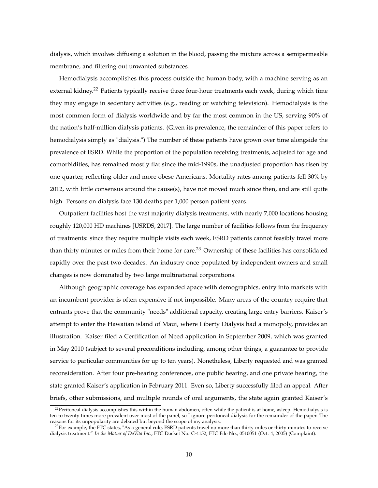dialysis, which involves diffusing a solution in the blood, passing the mixture across a semipermeable membrane, and filtering out unwanted substances.

Hemodialysis accomplishes this process outside the human body, with a machine serving as an external kidney.<sup>22</sup> Patients typically receive three four-hour treatments each week, during which time they may engage in sedentary activities (e.g., reading or watching television). Hemodialysis is the most common form of dialysis worldwide and by far the most common in the US, serving 90% of the nation's half-million dialysis patients. (Given its prevalence, the remainder of this paper refers to hemodialysis simply as "dialysis.") The number of these patients have grown over time alongside the prevalence of ESRD. While the proportion of the population receiving treatments, adjusted for age and comorbidities, has remained mostly flat since the mid-1990s, the unadjusted proportion has risen by one-quarter, reflecting older and more obese Americans. Mortality rates among patients fell 30% by 2012, with little consensus around the cause(s), have not moved much since then, and are still quite high. Persons on dialysis face 130 deaths per 1,000 person patient years.

Outpatient facilities host the vast majority dialysis treatments, with nearly 7,000 locations housing roughly 120,000 HD machines [USRDS, 2017]. The large number of facilities follows from the frequency of treatments: since they require multiple visits each week, ESRD patients cannot feasibly travel more than thirty minutes or miles from their home for care.<sup>23</sup> Ownership of these facilities has consolidated rapidly over the past two decades. An industry once populated by independent owners and small changes is now dominated by two large multinational corporations.

Although geographic coverage has expanded apace with demographics, entry into markets with an incumbent provider is often expensive if not impossible. Many areas of the country require that entrants prove that the community "needs" additional capacity, creating large entry barriers. Kaiser's attempt to enter the Hawaiian island of Maui, where Liberty Dialysis had a monopoly, provides an illustration. Kaiser filed a Certification of Need application in September 2009, which was granted in May 2010 (subject to several preconditions including, among other things, a guarantee to provide service to particular communities for up to ten years). Nonetheless, Liberty requested and was granted reconsideration. After four pre-hearing conferences, one public hearing, and one private hearing, the state granted Kaiser's application in February 2011. Even so, Liberty successfully filed an appeal. After briefs, other submissions, and multiple rounds of oral arguments, the state again granted Kaiser's

<sup>&</sup>lt;sup>22</sup> Peritoneal dialysis accomplishes this within the human abdomen, often while the patient is at home, asleep. Hemodialysis is ten to twenty times more prevalent over most of the panel, so I ignore peritoneal dialysis for the remainder of the paper. The reasons for its unpopularity are debated but beyond the scope of my analysis.

 $^{23}$ For example, the FTC states, "As a general rule, ESRD patients travel no more than thirty miles or thirty minutes to receive dialysis treatment." *In the Matter of DaVita Inc.*, FTC Docket No. C-4152, FTC File No., 0510051 (Oct. 4, 2005) (Complaint).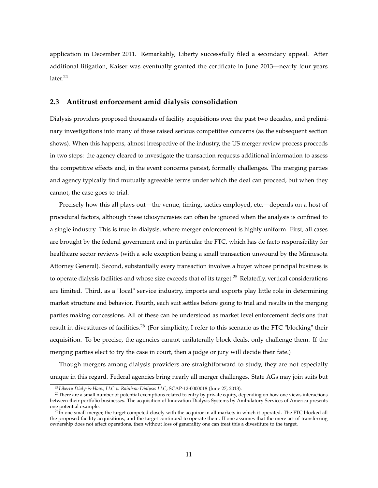application in December 2011. Remarkably, Liberty successfully filed a secondary appeal. After additional litigation, Kaiser was eventually granted the certificate in June 2013—nearly four years later.<sup>24</sup>

#### **2.3 Antitrust enforcement amid dialysis consolidation**

Dialysis providers proposed thousands of facility acquisitions over the past two decades, and preliminary investigations into many of these raised serious competitive concerns (as the subsequent section shows). When this happens, almost irrespective of the industry, the US merger review process proceeds in two steps: the agency cleared to investigate the transaction requests additional information to assess the competitive effects and, in the event concerns persist, formally challenges. The merging parties and agency typically find mutually agreeable terms under which the deal can proceed, but when they cannot, the case goes to trial.

Precisely how this all plays out—the venue, timing, tactics employed, etc.—depends on a host of procedural factors, although these idiosyncrasies can often be ignored when the analysis is confined to a single industry. This is true in dialysis, where merger enforcement is highly uniform. First, all cases are brought by the federal government and in particular the FTC, which has de facto responsibility for healthcare sector reviews (with a sole exception being a small transaction unwound by the Minnesota Attorney General). Second, substantially every transaction involves a buyer whose principal business is to operate dialysis facilities and whose size exceeds that of its target.<sup>25</sup> Relatedly, vertical considerations are limited. Third, as a "local" service industry, imports and exports play little role in determining market structure and behavior. Fourth, each suit settles before going to trial and results in the merging parties making concessions. All of these can be understood as market level enforcement decisions that result in divestitures of facilities.<sup>26</sup> (For simplicity, I refer to this scenario as the FTC "blocking" their acquisition. To be precise, the agencies cannot unilaterally block deals, only challenge them. If the merging parties elect to try the case in court, then a judge or jury will decide their fate.)

Though mergers among dialysis providers are straightforward to study, they are not especially unique in this regard. Federal agencies bring nearly all merger challenges. State AGs may join suits but

<sup>24</sup>*Liberty Dialysis-Haw., LLC v. Rainbow Dialysis LLC*, SCAP-12-0000018 (June 27, 2013).

<sup>&</sup>lt;sup>25</sup>There are a small number of potential exemptions related to entry by private equity, depending on how one views interactions between their portfolio businesses. The acquisition of Innovation Dialysis Systems by Ambulatory Services of America presents one potential example.

 $^{26}$ In one small merger, the target competed closely with the acquiror in all markets in which it operated. The FTC blocked all the proposed facility acquisitions, and the target continued to operate them. If one assumes that the mere act of transferring ownership does not affect operations, then without loss of generality one can treat this a divestiture to the target.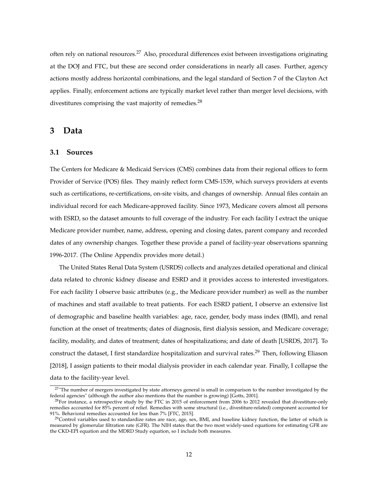often rely on national resources.<sup>27</sup> Also, procedural differences exist between investigations originating at the DOJ and FTC, but these are second order considerations in nearly all cases. Further, agency actions mostly address horizontal combinations, and the legal standard of Section 7 of the Clayton Act applies. Finally, enforcement actions are typically market level rather than merger level decisions, with divestitures comprising the vast majority of remedies.<sup>28</sup>

#### **3 Data**

#### **3.1 Sources**

The Centers for Medicare & Medicaid Services (CMS) combines data from their regional offices to form Provider of Service (POS) files. They mainly reflect form CMS-1539, which surveys providers at events such as certifications, re-certifications, on-site visits, and changes of ownership. Annual files contain an individual record for each Medicare-approved facility. Since 1973, Medicare covers almost all persons with ESRD, so the dataset amounts to full coverage of the industry. For each facility I extract the unique Medicare provider number, name, address, opening and closing dates, parent company and recorded dates of any ownership changes. Together these provide a panel of facility-year observations spanning 1996-2017. (The Online Appendix provides more detail.)

The United States Renal Data System (USRDS) collects and analyzes detailed operational and clinical data related to chronic kidney disease and ESRD and it provides access to interested investigators. For each facility I observe basic attributes (e.g., the Medicare provider number) as well as the number of machines and staff available to treat patients. For each ESRD patient, I observe an extensive list of demographic and baseline health variables: age, race, gender, body mass index (BMI), and renal function at the onset of treatments; dates of diagnosis, first dialysis session, and Medicare coverage; facility, modality, and dates of treatment; dates of hospitalizations; and date of death [USRDS, 2017]. To construct the dataset, I first standardize hospitalization and survival rates.<sup>29</sup> Then, following Eliason [2018], I assign patients to their modal dialysis provider in each calendar year. Finally, I collapse the data to the facility-year level.

<sup>&</sup>lt;sup>27</sup>"The number of mergers investigated by state attorneys general is small in comparison to the number investigated by the federal agencies" (although the author also mentions that the number is growing) [Gotts, 2001].

 $^{28}$ For instance, a retrospective study by the FTC in 2015 of enforcement from 2006 to 2012 revealed that divestiture-only remedies accounted for 85% percent of relief. Remedies with some structural (i.e., divestiture-related) component accounted for 91%. Behavioral remedies accounted for less than 7% [FTC, 2015].

 $29$ Control variables used to standardize rates are race, age, sex, BMI, and baseline kidney function, the latter of which is measured by glomerular filtration rate (GFR). The NIH states that the two most widely-used equations for estimating GFR are the CKD-EPI equation and the MDRD Study equation, so I include both measures.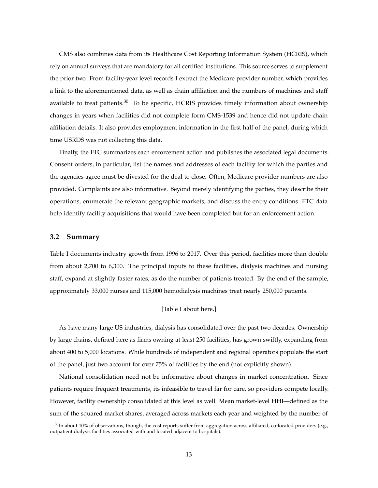CMS also combines data from its Healthcare Cost Reporting Information System (HCRIS), which rely on annual surveys that are mandatory for all certified institutions. This source serves to supplement the prior two. From facility-year level records I extract the Medicare provider number, which provides a link to the aforementioned data, as well as chain affiliation and the numbers of machines and staff available to treat patients.<sup>30</sup> To be specific, HCRIS provides timely information about ownership changes in years when facilities did not complete form CMS-1539 and hence did not update chain affiliation details. It also provides employment information in the first half of the panel, during which time USRDS was not collecting this data.

Finally, the FTC summarizes each enforcement action and publishes the associated legal documents. Consent orders, in particular, list the names and addresses of each facility for which the parties and the agencies agree must be divested for the deal to close. Often, Medicare provider numbers are also provided. Complaints are also informative. Beyond merely identifying the parties, they describe their operations, enumerate the relevant geographic markets, and discuss the entry conditions. FTC data help identify facility acquisitions that would have been completed but for an enforcement action.

#### **3.2 Summary**

Table I documents industry growth from 1996 to 2017. Over this period, facilities more than double from about 2,700 to 6,300. The principal inputs to these facilities, dialysis machines and nursing staff, expand at slightly faster rates, as do the number of patients treated. By the end of the sample, approximately 33,000 nurses and 115,000 hemodialysis machines treat nearly 250,000 patients.

#### [Table I about here.]

As have many large US industries, dialysis has consolidated over the past two decades. Ownership by large chains, defined here as firms owning at least 250 facilities, has grown swiftly, expanding from about 400 to 5,000 locations. While hundreds of independent and regional operators populate the start of the panel, just two account for over 75% of facilities by the end (not explicitly shown).

National consolidation need not be informative about changes in market concentration. Since patients require frequent treatments, its infeasible to travel far for care, so providers compete locally. However, facility ownership consolidated at this level as well. Mean market-level HHI—defined as the sum of the squared market shares, averaged across markets each year and weighted by the number of

 $30$ In about 10% of observations, though, the cost reports suffer from aggregation across affiliated, co-located providers (e.g., outpatient dialysis facilities associated with and located adjacent to hospitals).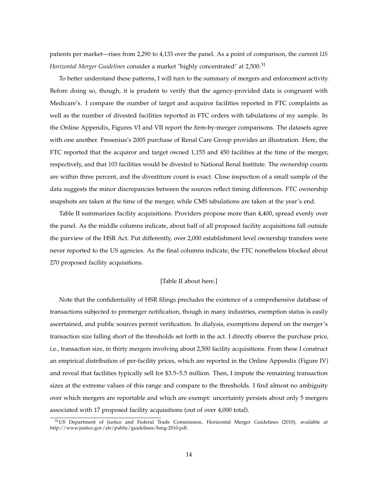patients per market—rises from 2,290 to 4,133 over the panel. As a point of comparison, the current *US Horizontal Merger Guidelines* consider a market "highly concentrated" at 2,500.<sup>31</sup>

To better understand these patterns, I will turn to the summary of mergers and enforcement activity. Before doing so, though, it is prudent to verify that the agency-provided data is congruent with Medicare's. I compare the number of target and acquiror facilities reported in FTC complaints as well as the number of divested facilities reported in FTC orders with tabulations of my sample. In the Online Appendix, Figures VI and VII report the firm-by-merger comparisons. The datasets agree with one another. Fresenius's 2005 purchase of Renal Care Group provides an illustration. Here, the FTC reported that the acquiror and target owned 1,155 and 450 facilities at the time of the merger, respectively, and that 103 facilities would be divested to National Renal Institute. The ownership counts are within three percent, and the divestiture count is exact. Close inspection of a small sample of the data suggests the minor discrepancies between the sources reflect timing differences. FTC ownership snapshots are taken at the time of the merger, while CMS tabulations are taken at the year's end.

Table II summarizes facility acquisitions. Providers propose more than 4,400, spread evenly over the panel. As the middle columns indicate, about half of all proposed facility acquisitions fall outside the purview of the HSR Act. Put differently, over 2,000 establishment level ownership transfers were never reported to the US agencies. As the final columns indicate, the FTC nonetheless blocked about 270 proposed facility acquisitions.

#### [Table II about here.]

Note that the confidentiality of HSR filings precludes the existence of a comprehensive database of transactions subjected to premerger notification, though in many industries, exemption status is easily ascertained, and public sources permit verification. In dialysis, exemptions depend on the merger's transaction size falling short of the thresholds set forth in the act. I directly observe the purchase price, i.e., transaction size, in thirty mergers involving about 2,500 facility acquisitions. From these I construct an empirical distribution of per-facility prices, which are reported in the Online Appendix (Figure IV) and reveal that facilities typically sell for \$3.5–5.5 million. Then, I impute the remaining transaction sizes at the extreme values of this range and compare to the thresholds. I find almost no ambiguity over which mergers are reportable and which are exempt: uncertainty persists about only 5 mergers associated with 17 proposed facility acquisitions (out of over 4,000 total).

<sup>&</sup>lt;sup>31</sup>US Department of Justice and Federal Trade Commission, Horizontal Merger Guidelines (2010), available at http://www.justice.gov/atr/public/guidelines/hmg-2010.pdf.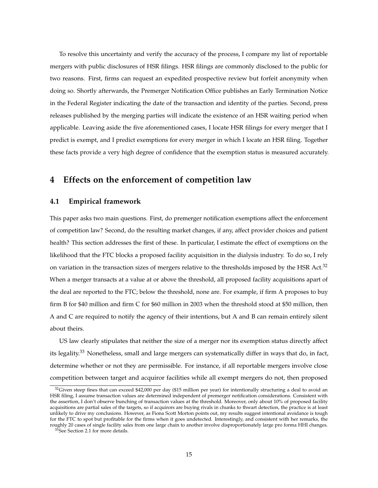To resolve this uncertainty and verify the accuracy of the process, I compare my list of reportable mergers with public disclosures of HSR filings. HSR filings are commonly disclosed to the public for two reasons. First, firms can request an expedited prospective review but forfeit anonymity when doing so. Shortly afterwards, the Premerger Notification Office publishes an Early Termination Notice in the Federal Register indicating the date of the transaction and identity of the parties. Second, press releases published by the merging parties will indicate the existence of an HSR waiting period when applicable. Leaving aside the five aforementioned cases, I locate HSR filings for every merger that I predict is exempt, and I predict exemptions for every merger in which I locate an HSR filing. Together these facts provide a very high degree of confidence that the exemption status is measured accurately.

## **4 Effects on the enforcement of competition law**

#### **4.1 Empirical framework**

This paper asks two main questions. First, do premerger notification exemptions affect the enforcement of competition law? Second, do the resulting market changes, if any, affect provider choices and patient health? This section addresses the first of these. In particular, I estimate the effect of exemptions on the likelihood that the FTC blocks a proposed facility acquisition in the dialysis industry. To do so, I rely on variation in the transaction sizes of mergers relative to the thresholds imposed by the HSR Act.<sup>32</sup> When a merger transacts at a value at or above the threshold, all proposed facility acquisitions apart of the deal are reported to the FTC; below the threshold, none are. For example, if firm A proposes to buy firm B for \$40 million and firm C for \$60 million in 2003 when the threshold stood at \$50 million, then A and C are required to notify the agency of their intentions, but A and B can remain entirely silent about theirs.

US law clearly stipulates that neither the size of a merger nor its exemption status directly affect its legality.<sup>33</sup> Nonetheless, small and large mergers can systematically differ in ways that do, in fact, determine whether or not they are permissible. For instance, if all reportable mergers involve close competition between target and acquiror facilities while all exempt mergers do not, then proposed

 $32$ Given steep fines that can exceed \$42,000 per day (\$15 million per year) for intentionally structuring a deal to avoid an HSR filing, I assume transaction values are determined independent of premerger notification considerations. Consistent with the assertion, I don't observe bunching of transaction values at the threshold. Moreover, only about 10% of proposed facility acquisitions are partial sales of the targets, so if acquirors are buying rivals in chunks to thwart detection, the practice is at least unlikely to drive my conclusions. However, as Fiona Scott Morton points out, my results suggest intentional avoidance is tough for the FTC to spot but profitable for the firms when it goes undetected. Interestingly, and consistent with her remarks, the roughly 20 cases of single facility sales from one large chain to another involve disproportionately large pro forma HHI changes.

<sup>&</sup>lt;sup>33</sup>See Section 2.1 for more details.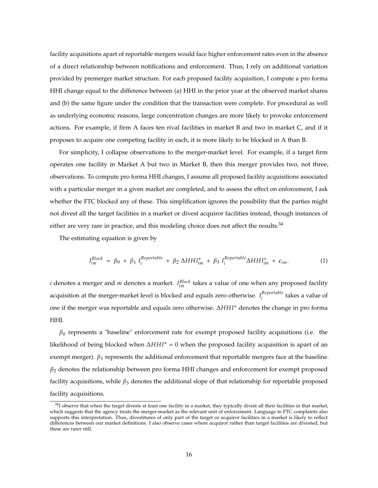facility acquisitions apart of reportable mergers would face higher enforcement rates even in the absence of a direct relationship between notifications and enforcement. Thus, I rely on additional variation provided by premerger market structure. For each proposed facility acquisition, I compute a pro forma HHI change equal to the difference between (a) HHI in the prior year at the observed market shares and (b) the same figure under the condition that the transaction were complete. For procedural as well as underlying economic reasons, large concentration changes are more likely to provoke enforcement actions. For example, if firm A faces ten rival facilities in market B and two in market C, and if it proposes to acquire one competing facility in each, it is more likely to be blocked in A than B.

For simplicity, I collapse observations to the merger-market level. For example, if a target firm operates one facility in Market A but two in Market B, then this merger provides two, not three, observations. To compute pro forma HHI changes, I assume all proposed facility acquisitions associated with a particular merger in a given market are completed, and to assess the effect on enforcement, I ask whether the FTC blocked any of these. This simplification ignores the possibility that the parties might not divest all the target facilities in a market or divest acquiror facilities instead, though instances of either are very rare in practice, and this modeling choice does not affect the results. $34$ 

The estimating equation is given by

$$
I_{im}^{Block} = \beta_0 + \beta_1 I_i^{Reportable} + \beta_2 \Delta H H I_{im}^{\star} + \beta_3 I_i^{Reportable} \Delta H H I_{im}^{\star} + \epsilon_{im}. \qquad (1)
$$

*i* denotes a merger and *m* denotes a market.  $I_{im}^{Block}$  takes a value of one when any proposed facility acquisition at the merger-market level is blocked and equals zero otherwise. *I Reportable i* takes a value of one if the merger was reportable and equals zero otherwise. ∆*HH I*? denotes the change in pro forma HHI.

*β*<sup>0</sup> represents a "baseline" enforcement rate for exempt proposed facility acquisitions (i.e. the likelihood of being blocked when ∆*HH I*? = 0 when the proposed facility acquisition is apart of an exempt merger).  $β_1$  represents the additional enforcement that reportable mergers face at the baseline. *β*<sup>2</sup> denotes the relationship between pro forma HHI changes and enforcement for exempt proposed facility acquisitions, while *β*<sup>3</sup> denotes the additional slope of that relationship for reportable proposed facility acquisitions.

 $34$ I observe that when the target divests at least one facility in a market, they typically divest all their facilities in that market, which suggests that the agency treats the merger-market as the relevant unit of enforcement. Language in FTC complaints also supports this interpretation. Thus, divestitures of only part of the target or acquiror facilities in a market is likely to reflect differences between our market definitions. I also observe cases where acquiror rather than target facilities are divested, but these are rarer still.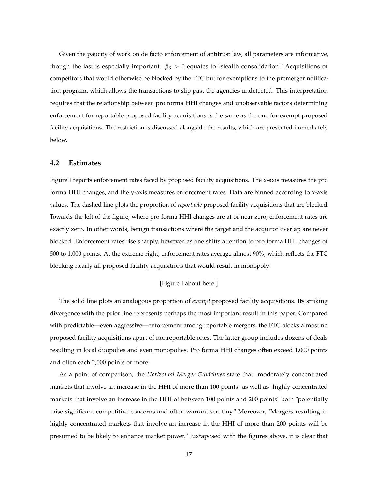Given the paucity of work on de facto enforcement of antitrust law, all parameters are informative, though the last is especially important. *β*<sup>3</sup> > 0 equates to "stealth consolidation." Acquisitions of competitors that would otherwise be blocked by the FTC but for exemptions to the premerger notification program, which allows the transactions to slip past the agencies undetected. This interpretation requires that the relationship between pro forma HHI changes and unobservable factors determining enforcement for reportable proposed facility acquisitions is the same as the one for exempt proposed facility acquisitions. The restriction is discussed alongside the results, which are presented immediately below.

#### **4.2 Estimates**

Figure I reports enforcement rates faced by proposed facility acquisitions. The x-axis measures the pro forma HHI changes, and the y-axis measures enforcement rates. Data are binned according to x-axis values. The dashed line plots the proportion of *reportable* proposed facility acquisitions that are blocked. Towards the left of the figure, where pro forma HHI changes are at or near zero, enforcement rates are exactly zero. In other words, benign transactions where the target and the acquiror overlap are never blocked. Enforcement rates rise sharply, however, as one shifts attention to pro forma HHI changes of 500 to 1,000 points. At the extreme right, enforcement rates average almost 90%, which reflects the FTC blocking nearly all proposed facility acquisitions that would result in monopoly.

#### [Figure I about here.]

The solid line plots an analogous proportion of *exempt* proposed facility acquisitions. Its striking divergence with the prior line represents perhaps the most important result in this paper. Compared with predictable—even aggressive—enforcement among reportable mergers, the FTC blocks almost no proposed facility acquisitions apart of nonreportable ones. The latter group includes dozens of deals resulting in local duopolies and even monopolies. Pro forma HHI changes often exceed 1,000 points and often each 2,000 points or more.

As a point of comparison, the *Horizontal Merger Guidelines* state that "moderately concentrated markets that involve an increase in the HHI of more than 100 points" as well as "highly concentrated markets that involve an increase in the HHI of between 100 points and 200 points" both "potentially raise significant competitive concerns and often warrant scrutiny." Moreover, "Mergers resulting in highly concentrated markets that involve an increase in the HHI of more than 200 points will be presumed to be likely to enhance market power." Juxtaposed with the figures above, it is clear that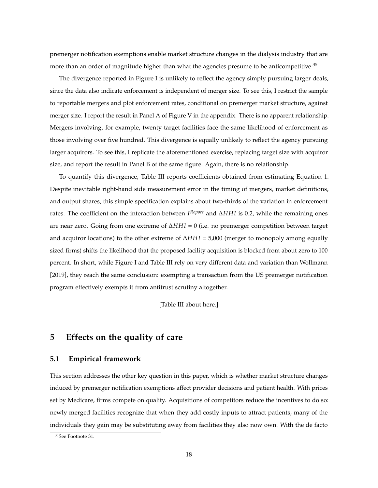premerger notification exemptions enable market structure changes in the dialysis industry that are more than an order of magnitude higher than what the agencies presume to be anticompetitive.<sup>35</sup>

The divergence reported in Figure I is unlikely to reflect the agency simply pursuing larger deals, since the data also indicate enforcement is independent of merger size. To see this, I restrict the sample to reportable mergers and plot enforcement rates, conditional on premerger market structure, against merger size. I report the result in Panel A of Figure V in the appendix. There is no apparent relationship. Mergers involving, for example, twenty target facilities face the same likelihood of enforcement as those involving over five hundred. This divergence is equally unlikely to reflect the agency pursuing larger acquirors. To see this, I replicate the aforementioned exercise, replacing target size with acquiror size, and report the result in Panel B of the same figure. Again, there is no relationship.

To quantify this divergence, Table III reports coefficients obtained from estimating Equation 1. Despite inevitable right-hand side measurement error in the timing of mergers, market definitions, and output shares, this simple specification explains about two-thirds of the variation in enforcement rates. The coefficient on the interaction between *I Report* and ∆*HH I* is 0.2, while the remaining ones are near zero. Going from one extreme of ∆*HH I* = 0 (i.e. no premerger competition between target and acquiror locations) to the other extreme of ∆*HH I* = 5,000 (merger to monopoly among equally sized firms) shifts the likelihood that the proposed facility acquisition is blocked from about zero to 100 percent. In short, while Figure I and Table III rely on very different data and variation than Wollmann [2019], they reach the same conclusion: exempting a transaction from the US premerger notification program effectively exempts it from antitrust scrutiny altogether.

[Table III about here.]

## **5 Effects on the quality of care**

#### **5.1 Empirical framework**

This section addresses the other key question in this paper, which is whether market structure changes induced by premerger notification exemptions affect provider decisions and patient health. With prices set by Medicare, firms compete on quality. Acquisitions of competitors reduce the incentives to do so: newly merged facilities recognize that when they add costly inputs to attract patients, many of the individuals they gain may be substituting away from facilities they also now own. With the de facto

<sup>35</sup>See Footnote 31.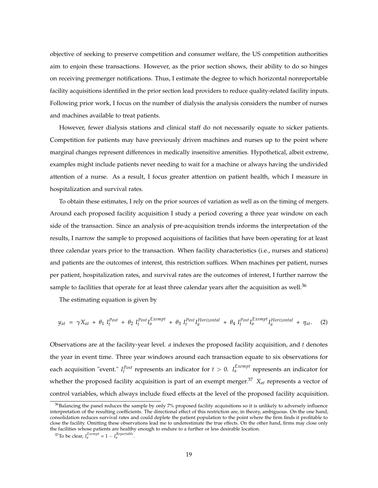objective of seeking to preserve competition and consumer welfare, the US competition authorities aim to enjoin these transactions. However, as the prior section shows, their ability to do so hinges on receiving premerger notifications. Thus, I estimate the degree to which horizontal nonreportable facility acquisitions identified in the prior section lead providers to reduce quality-related facility inputs. Following prior work, I focus on the number of dialysis the analysis considers the number of nurses and machines available to treat patients.

However, fewer dialysis stations and clinical staff do not necessarily equate to sicker patients. Competition for patients may have previously driven machines and nurses up to the point where marginal changes represent differences in medically insensitive amenities. Hypothetical, albeit extreme, examples might include patients never needing to wait for a machine or always having the undivided attention of a nurse. As a result, I focus greater attention on patient health, which I measure in hospitalization and survival rates.

To obtain these estimates, I rely on the prior sources of variation as well as on the timing of mergers. Around each proposed facility acquisition I study a period covering a three year window on each side of the transaction. Since an analysis of pre-acquisition trends informs the interpretation of the results, I narrow the sample to proposed acquisitions of facilities that have been operating for at least three calendar years prior to the transaction. When facility characteristics (i.e., nurses and stations) and patients are the outcomes of interest, this restriction suffices. When machines per patient, nurses per patient, hospitalization rates, and survival rates are the outcomes of interest, I further narrow the sample to facilities that operate for at least three calendar years after the acquisition as well.<sup>36</sup>

The estimating equation is given by

$$
y_{at} = \gamma X_{at} + \theta_1 I_t^{Post} + \theta_2 I_t^{Post} I_a^{Exempl} + \theta_3 I_t^{Post} I_a^{Horizontal} + \theta_4 I_t^{Post} I_a^{Exempl} I_a^{Horizontal} + \eta_{at}.
$$
 (2)

Observations are at the facility-year level. *a* indexes the proposed facility acquisition, and *t* denotes the year in event time. Three year windows around each transaction equate to six observations for each acquisition "event."  $I_t^{Post}$  represents an indicator for  $t > 0$ .  $I_a^{Exempl}$  represents an indicator for whether the proposed facility acquisition is part of an exempt merger.<sup>37</sup>  $X_{at}$  represents a vector of control variables, which always include fixed effects at the level of the proposed facility acquisition.

<sup>&</sup>lt;sup>36</sup>Balancing the panel reduces the sample by only 7% proposed facility acquisitions so it is unlikely to adversely influence interpretation of the resulting coefficients. The directional effect of this restriction are, in theory, ambiguous. On the one hand, consolidation reduces survival rates and could deplete the patient population to the point where the firm finds it profitable to close the facility. Omitting these observations lead me to underestimate the true effects. On the other hand, firms may close only the facilities whose patients are healthy enough to endure to a further or less desirable location.

<sup>&</sup>lt;sup>37</sup>To be clear,  $I_a^{Exempt} = 1 - I_a^{Reportable}$ .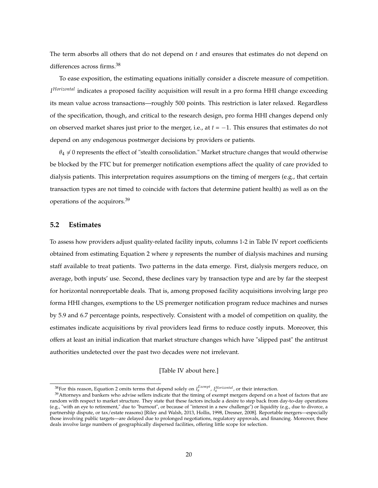The term absorbs all others that do not depend on *t* and ensures that estimates do not depend on differences across firms.<sup>38</sup>

To ease exposition, the estimating equations initially consider a discrete measure of competition. *I Horizontal* indicates a proposed facility acquisition will result in a pro forma HHI change exceeding its mean value across transactions—roughly 500 points. This restriction is later relaxed. Regardless of the specification, though, and critical to the research design, pro forma HHI changes depend only on observed market shares just prior to the merger, i.e., at *t* = −1. This ensures that estimates do not depend on any endogenous postmerger decisions by providers or patients.

 $\theta_4 \neq 0$  represents the effect of "stealth consolidation." Market structure changes that would otherwise be blocked by the FTC but for premerger notification exemptions affect the quality of care provided to dialysis patients. This interpretation requires assumptions on the timing of mergers (e.g., that certain transaction types are not timed to coincide with factors that determine patient health) as well as on the operations of the acquirors.<sup>39</sup>

#### **5.2 Estimates**

To assess how providers adjust quality-related facility inputs, columns 1-2 in Table IV report coefficients obtained from estimating Equation 2 where *y* represents the number of dialysis machines and nursing staff available to treat patients. Two patterns in the data emerge. First, dialysis mergers reduce, on average, both inputs' use. Second, these declines vary by transaction type and are by far the steepest for horizontal nonreportable deals. That is, among proposed facility acquisitions involving large pro forma HHI changes, exemptions to the US premerger notification program reduce machines and nurses by 5.9 and 6.7 percentage points, respectively. Consistent with a model of competition on quality, the estimates indicate acquisitions by rival providers lead firms to reduce costly inputs. Moreover, this offers at least an initial indication that market structure changes which have "slipped past" the antitrust authorities undetected over the past two decades were not irrelevant.

#### [Table IV about here.]

<sup>&</sup>lt;sup>38</sup> For this reason, Equation 2 omits terms that depend solely on  $I_a^{Exempt}$ ,  $I_a^{Horizontal}$ , or their interaction.

<sup>&</sup>lt;sup>39</sup>Attorneys and bankers who advise sellers indicate that the timing of exempt mergers depend on a host of factors that are random with respect to market structure. They state that these factors include a desire to step back from day-to-day operations (e.g., "with an eye to retirement," due to "burnout", or because of "interest in a new challenge") or liquidity (e.g., due to divorce, a partnership dispute, or tax/estate reasons) [Riley and Walsh, 2013, Hollis, 1998, Dresner, 2008]. Reportable mergers—especially those involving public targets—are delayed due to prolonged negotiations, regulatory approvals, and financing. Moreover, these deals involve large numbers of geographically dispersed facilities, offering little scope for selection.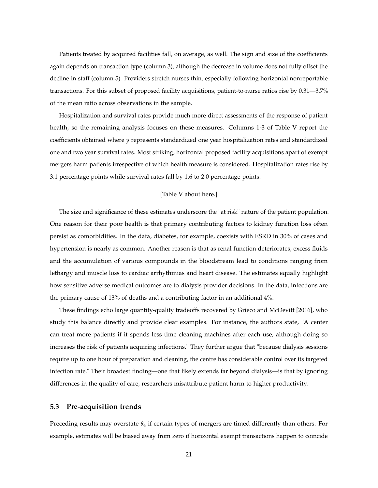Patients treated by acquired facilities fall, on average, as well. The sign and size of the coefficients again depends on transaction type (column 3), although the decrease in volume does not fully offset the decline in staff (column 5). Providers stretch nurses thin, especially following horizontal nonreportable transactions. For this subset of proposed facility acquisitions, patient-to-nurse ratios rise by 0.31—3.7% of the mean ratio across observations in the sample.

Hospitalization and survival rates provide much more direct assessments of the response of patient health, so the remaining analysis focuses on these measures. Columns 1-3 of Table V report the coefficients obtained where *y* represents standardized one year hospitalization rates and standardized one and two year survival rates. Most striking, horizontal proposed facility acquisitions apart of exempt mergers harm patients irrespective of which health measure is considered. Hospitalization rates rise by 3.1 percentage points while survival rates fall by 1.6 to 2.0 percentage points.

#### [Table V about here.]

The size and significance of these estimates underscore the "at risk" nature of the patient population. One reason for their poor health is that primary contributing factors to kidney function loss often persist as comorbidities. In the data, diabetes, for example, coexists with ESRD in 30% of cases and hypertension is nearly as common. Another reason is that as renal function deteriorates, excess fluids and the accumulation of various compounds in the bloodstream lead to conditions ranging from lethargy and muscle loss to cardiac arrhythmias and heart disease. The estimates equally highlight how sensitive adverse medical outcomes are to dialysis provider decisions. In the data, infections are the primary cause of 13% of deaths and a contributing factor in an additional 4%.

These findings echo large quantity-quality tradeoffs recovered by Grieco and McDevitt [2016], who study this balance directly and provide clear examples. For instance, the authors state, "A center can treat more patients if it spends less time cleaning machines after each use, although doing so increases the risk of patients acquiring infections." They further argue that "because dialysis sessions require up to one hour of preparation and cleaning, the centre has considerable control over its targeted infection rate." Their broadest finding—one that likely extends far beyond dialysis—is that by ignoring differences in the quality of care, researchers misattribute patient harm to higher productivity.

#### **5.3 Pre-acquisition trends**

Preceding results may overstate *θ*<sup>4</sup> if certain types of mergers are timed differently than others. For example, estimates will be biased away from zero if horizontal exempt transactions happen to coincide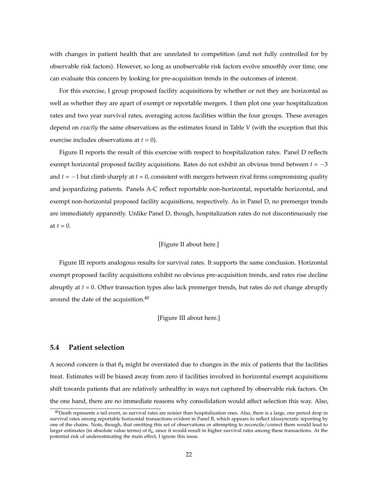with changes in patient health that are unrelated to competition (and not fully controlled for by observable risk factors). However, so long as unobservable risk factors evolve smoothly over time, one can evaluate this concern by looking for pre-acquisition trends in the outcomes of interest.

For this exercise, I group proposed facility acquisitions by whether or not they are horizontal as well as whether they are apart of exempt or reportable mergers. I then plot one year hospitalization rates and two year survival rates, averaging across facilities within the four groups. These averages depend on *exactly* the same observations as the estimates found in Table V (with the exception that this exercise includes observations at *t* = 0).

Figure II reports the result of this exercise with respect to hospitalization rates. Panel D reflects exempt horizontal proposed facility acquisitions. Rates do not exhibit an obvious trend between *t* = −3 and *t* = −1 but climb sharply at *t* = 0, consistent with mergers between rival firms compromising quality and jeopardizing patients. Panels A-C reflect reportable non-horizontal, reportable horizontal, and exempt non-horizontal proposed facility acquisitions, respectively. As in Panel D, no premerger trends are immediately apparently. Unlike Panel D, though, hospitalization rates do not discontinuously rise at  $t = 0$ .

#### [Figure II about here.]

Figure III reports analogous results for survival rates. It supports the same conclusion. Horizontal exempt proposed facility acquisitions exhibit no obvious pre-acquisition trends, and rates rise decline abruptly at *t* = 0. Other transaction types also lack premerger trends, but rates do not change abruptly around the date of the acquisition.<sup>40</sup>

#### [Figure III about here.]

#### **5.4 Patient selection**

A second concern is that *θ*<sup>4</sup> might be overstated due to changes in the mix of patients that the facilities treat. Estimates will be biased away from zero if facilities involved in horizontal exempt acquisitions shift towards patients that are relatively unhealthy in ways not captured by observable risk factors. On the one hand, there are no immediate reasons why consolidation would affect selection this way. Also,

 $^{40}$ Death represents a tail event, so survival rates are noisier than hospitalization ones. Also, there is a large, one period drop in survival rates among reportable horizontal transactions evident in Panel B, which appears to reflect idiosyncratic reporting by one of the chains. Note, though, that omitting this set of observations or attempting to reconcile/correct them would lead to larger estimates (in absolute value terms) of *θ*4, since it would result in higher survival rates among these transactions. At the potential risk of underestimating the main effect, I ignore this issue.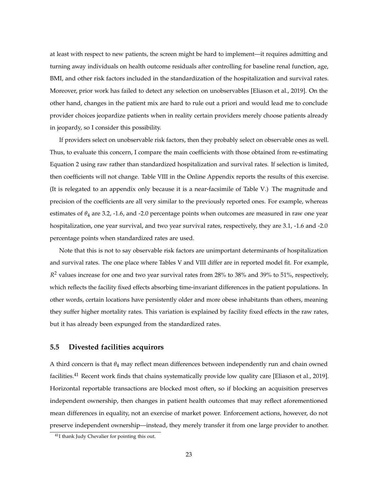at least with respect to new patients, the screen might be hard to implement—it requires admitting and turning away individuals on health outcome residuals after controlling for baseline renal function, age, BMI, and other risk factors included in the standardization of the hospitalization and survival rates. Moreover, prior work has failed to detect any selection on unobservables [Eliason et al., 2019]. On the other hand, changes in the patient mix are hard to rule out a priori and would lead me to conclude provider choices jeopardize patients when in reality certain providers merely choose patients already in jeopardy, so I consider this possibility.

If providers select on unobservable risk factors, then they probably select on observable ones as well. Thus, to evaluate this concern, I compare the main coefficients with those obtained from re-estimating Equation 2 using raw rather than standardized hospitalization and survival rates. If selection is limited, then coefficients will not change. Table VIII in the Online Appendix reports the results of this exercise. (It is relegated to an appendix only because it is a near-facsimile of Table V.) The magnitude and precision of the coefficients are all very similar to the previously reported ones. For example, whereas estimates of  $\theta_4$  are 3.2, -1.6, and -2.0 percentage points when outcomes are measured in raw one year hospitalization, one year survival, and two year survival rates, respectively, they are 3.1, -1.6 and -2.0 percentage points when standardized rates are used.

Note that this is not to say observable risk factors are unimportant determinants of hospitalization and survival rates. The one place where Tables V and VIII differ are in reported model fit. For example, *R* <sup>2</sup> values increase for one and two year survival rates from 28% to 38% and 39% to 51%, respectively, which reflects the facility fixed effects absorbing time-invariant differences in the patient populations. In other words, certain locations have persistently older and more obese inhabitants than others, meaning they suffer higher mortality rates. This variation is explained by facility fixed effects in the raw rates, but it has already been expunged from the standardized rates.

#### **5.5 Divested facilities acquirors**

A third concern is that *θ*<sup>4</sup> may reflect mean differences between independently run and chain owned facilities.<sup>41</sup> Recent work finds that chains systematically provide low quality care [Eliason et al., 2019]. Horizontal reportable transactions are blocked most often, so if blocking an acquisition preserves independent ownership, then changes in patient health outcomes that may reflect aforementioned mean differences in equality, not an exercise of market power. Enforcement actions, however, do not preserve independent ownership—instead, they merely transfer it from one large provider to another.

<sup>41</sup>I thank Judy Chevalier for pointing this out.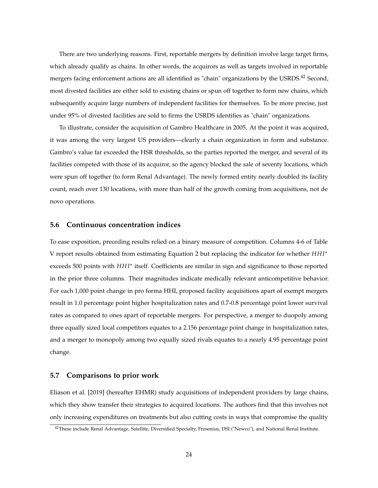There are two underlying reasons. First, reportable mergers by definition involve large target firms, which already qualify as chains. In other words, the acquirors as well as targets involved in reportable mergers facing enforcement actions are all identified as "chain" organizations by the USRDS.<sup>42</sup> Second, most divested facilities are either sold to existing chains or spun off together to form new chains, which subsequently acquire large numbers of independent facilities for themselves. To be more precise, just under 95% of divested facilities are sold to firms the USRDS identifies as "chain" organizations.

To illustrate, consider the acquisition of Gambro Healthcare in 2005. At the point it was acquired, it was among the very largest US providers—clearly a chain organization in form and substance. Gambro's value far exceeded the HSR thresholds, so the parties reported the merger, and several of its facilities competed with those of its acquiror, so the agency blocked the sale of seventy locations, which were spun off together (to form Renal Advantage). The newly formed entity nearly doubled its facility count, reach over 130 locations, with more than half of the growth coming from acquisitions, not de novo operations.

#### **5.6 Continuous concentration indices**

To ease exposition, preceding results relied on a binary measure of competition. Columns 4-6 of Table V report results obtained from estimating Equation 2 but replacing the indicator for whether *HH I*? exceeds 500 points with *HHI*<sup>\*</sup> itself. Coefficients are similar in sign and significance to those reported in the prior three columns. Their magnitudes indicate medically relevant anticompetitive behavior. For each 1,000 point change in pro forma HHI, proposed facility acquisitions apart of exempt mergers result in 1.0 percentage point higher hospitalization rates and 0.7-0.8 percentage point lower survival rates as compared to ones apart of reportable mergers. For perspective, a merger to duopoly among three equally sized local competitors equates to a 2.156 percentage point change in hospitalization rates, and a merger to monopoly among two equally sized rivals equates to a nearly 4.95 percentage point change.

#### **5.7 Comparisons to prior work**

Eliason et al. [2019] (hereafter EHMR) study acquisitions of independent providers by large chains, which they show transfer their strategies to acquired locations. The authors find that this involves not only increasing expenditures on treatments but also cutting costs in ways that compromise the quality

<sup>&</sup>lt;sup>42</sup>These include Renal Advantage, Satellite, Diversified Specialty, Fresenius, DSI ("Newco"), and National Renal Institute.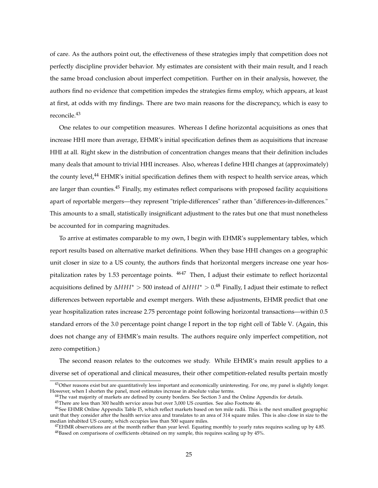of care. As the authors point out, the effectiveness of these strategies imply that competition does not perfectly discipline provider behavior. My estimates are consistent with their main result, and I reach the same broad conclusion about imperfect competition. Further on in their analysis, however, the authors find no evidence that competition impedes the strategies firms employ, which appears, at least at first, at odds with my findings. There are two main reasons for the discrepancy, which is easy to reconcile.<sup>43</sup>

One relates to our competition measures. Whereas I define horizontal acquisitions as ones that increase HHI more than average, EHMR's initial specification defines them as acquisitions that increase HHI at all. Right skew in the distribution of concentration changes means that their definition includes many deals that amount to trivial HHI increases. Also, whereas I define HHI changes at (approximately) the county level,<sup>44</sup> EHMR's initial specification defines them with respect to health service areas, which are larger than counties.<sup>45</sup> Finally, my estimates reflect comparisons with proposed facility acquisitions apart of reportable mergers—they represent "triple-differences" rather than "differences-in-differences." This amounts to a small, statistically insignificant adjustment to the rates but one that must nonetheless be accounted for in comparing magnitudes.

To arrive at estimates comparable to my own, I begin with EHMR's supplementary tables, which report results based on alternative market definitions. When they base HHI changes on a geographic unit closer in size to a US county, the authors finds that horizontal mergers increase one year hospitalization rates by 1.53 percentage points.  $4647$  Then, I adjust their estimate to reflect horizontal acquisitions defined by ∆*HH I*? > 500 instead of ∆*HH I*? > 0.<sup>48</sup> Finally, I adjust their estimate to reflect differences between reportable and exempt mergers. With these adjustments, EHMR predict that one year hospitalization rates increase 2.75 percentage point following horizontal transactions—within 0.5 standard errors of the 3.0 percentage point change I report in the top right cell of Table V. (Again, this does not change any of EHMR's main results. The authors require only imperfect competition, not zero competition.)

The second reason relates to the outcomes we study. While EHMR's main result applies to a diverse set of operational and clinical measures, their other competition-related results pertain mostly

<sup>45</sup>There are less than 300 health service areas but over 3,000 US counties. See also Footnote 46.

<sup>&</sup>lt;sup>43</sup>Other reasons exist but are quantitatively less important and economically uninteresting. For one, my panel is slightly longer. However, when I shorten the panel, most estimates increase in absolute value terms.

<sup>&</sup>lt;sup>44</sup>The vast majority of markets are defined by county borders. See Section 3 and the Online Appendix for details.

<sup>&</sup>lt;sup>46</sup>See EHMR Online Appendix Table I5, which reflect markets based on ten mile radii. This is the next smallest geographic unit that they consider after the health service area and translates to an area of 314 square miles. This is also close in size to the median inhabited US county, which occupies less than 500 square miles.

 $^{47}$ EHMR observations are at the month rather than year level. Equating monthly to yearly rates requires scaling up by 4.85. <sup>48</sup>Based on comparisons of coefficients obtained on my sample, this requires scaling up by 45%.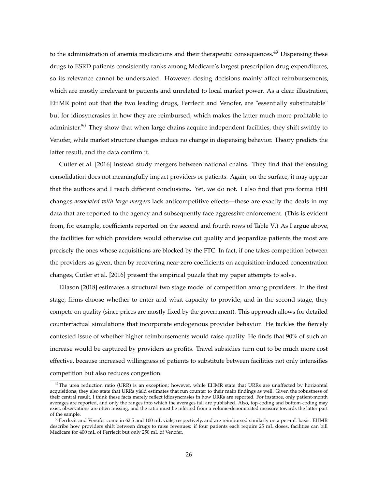to the administration of anemia medications and their therapeutic consequences.<sup>49</sup> Dispensing these drugs to ESRD patients consistently ranks among Medicare's largest prescription drug expenditures, so its relevance cannot be understated. However, dosing decisions mainly affect reimbursements, which are mostly irrelevant to patients and unrelated to local market power. As a clear illustration, EHMR point out that the two leading drugs, Ferrlecit and Venofer, are "essentially substitutable" but for idiosyncrasies in how they are reimbursed, which makes the latter much more profitable to administer.<sup>50</sup> They show that when large chains acquire independent facilities, they shift swiftly to Venofer, while market structure changes induce no change in dispensing behavior. Theory predicts the latter result, and the data confirm it.

Cutler et al. [2016] instead study mergers between national chains. They find that the ensuing consolidation does not meaningfully impact providers or patients. Again, on the surface, it may appear that the authors and I reach different conclusions. Yet, we do not. I also find that pro forma HHI changes *associated with large mergers* lack anticompetitive effects—these are exactly the deals in my data that are reported to the agency and subsequently face aggressive enforcement. (This is evident from, for example, coefficients reported on the second and fourth rows of Table V.) As I argue above, the facilities for which providers would otherwise cut quality and jeopardize patients the most are precisely the ones whose acquisitions are blocked by the FTC. In fact, if one takes competition between the providers as given, then by recovering near-zero coefficients on acquisition-induced concentration changes, Cutler et al. [2016] present the empirical puzzle that my paper attempts to solve.

Eliason [2018] estimates a structural two stage model of competition among providers. In the first stage, firms choose whether to enter and what capacity to provide, and in the second stage, they compete on quality (since prices are mostly fixed by the government). This approach allows for detailed counterfactual simulations that incorporate endogenous provider behavior. He tackles the fiercely contested issue of whether higher reimbursements would raise quality. He finds that 90% of such an increase would be captured by providers as profits. Travel subsidies turn out to be much more cost effective, because increased willingness of patients to substitute between facilities not only intensifies competition but also reduces congestion.

<sup>&</sup>lt;sup>49</sup>The urea reduction ratio (URR) is an exception; however, while EHMR state that URRs are unaffected by horizontal acquisitions, they also state that URRs yield estimates that run counter to their main findings as well. Given the robustness of their central result, I think these facts merely reflect idiosyncrasies in how URRs are reported. For instance, only patient-month averages are reported, and only the ranges into which the averages fall are published. Also, top-coding and bottom-coding may exist, observations are often missing, and the ratio must be inferred from a volume-denominated measure towards the latter part of the sample.

<sup>50</sup>Ferrlecit and Venofer come in 62.5 and 100 mL vials, respectively, and are reimbursed similarly on a per-mL basis. EHMR describe how providers shift between drugs to raise revenues: if four patients each require 25 mL doses, facilities can bill Medicare for 400 mL of Ferrlecit but only 250 mL of Venofer.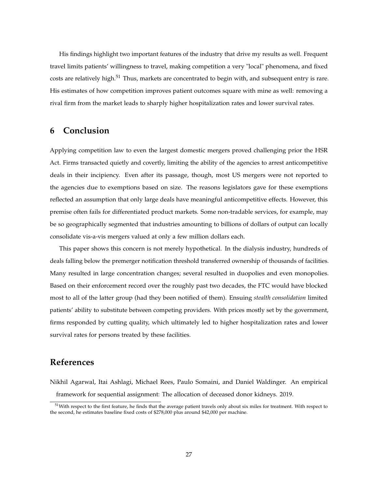His findings highlight two important features of the industry that drive my results as well. Frequent travel limits patients' willingness to travel, making competition a very "local" phenomena, and fixed costs are relatively high.<sup>51</sup> Thus, markets are concentrated to begin with, and subsequent entry is rare. His estimates of how competition improves patient outcomes square with mine as well: removing a rival firm from the market leads to sharply higher hospitalization rates and lower survival rates.

## **6 Conclusion**

Applying competition law to even the largest domestic mergers proved challenging prior the HSR Act. Firms transacted quietly and covertly, limiting the ability of the agencies to arrest anticompetitive deals in their incipiency. Even after its passage, though, most US mergers were not reported to the agencies due to exemptions based on size. The reasons legislators gave for these exemptions reflected an assumption that only large deals have meaningful anticompetitive effects. However, this premise often fails for differentiated product markets. Some non-tradable services, for example, may be so geographically segmented that industries amounting to billions of dollars of output can locally consolidate vis-a-vis mergers valued at only a few million dollars each.

This paper shows this concern is not merely hypothetical. In the dialysis industry, hundreds of deals falling below the premerger notification threshold transferred ownership of thousands of facilities. Many resulted in large concentration changes; several resulted in duopolies and even monopolies. Based on their enforcement record over the roughly past two decades, the FTC would have blocked most to all of the latter group (had they been notified of them). Ensuing *stealth consolidation* limited patients' ability to substitute between competing providers. With prices mostly set by the government, firms responded by cutting quality, which ultimately led to higher hospitalization rates and lower survival rates for persons treated by these facilities.

## **References**

Nikhil Agarwal, Itai Ashlagi, Michael Rees, Paulo Somaini, and Daniel Waldinger. An empirical framework for sequential assignment: The allocation of deceased donor kidneys. 2019.

<sup>&</sup>lt;sup>51</sup>With respect to the first feature, he finds that the average patient travels only about six miles for treatment. With respect to the second, he estimates baseline fixed costs of \$278,000 plus around \$42,000 per machine.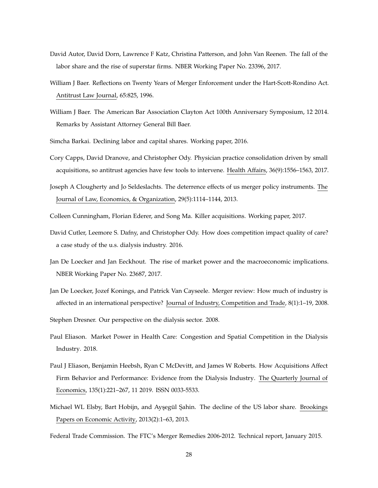- David Autor, David Dorn, Lawrence F Katz, Christina Patterson, and John Van Reenen. The fall of the labor share and the rise of superstar firms. NBER Working Paper No. 23396, 2017.
- William J Baer. Reflections on Twenty Years of Merger Enforcement under the Hart-Scott-Rondino Act. Antitrust Law Journal, 65:825, 1996.
- William J Baer. The American Bar Association Clayton Act 100th Anniversary Symposium, 12 2014. Remarks by Assistant Attorney General Bill Baer.
- Simcha Barkai. Declining labor and capital shares. Working paper, 2016.
- Cory Capps, David Dranove, and Christopher Ody. Physician practice consolidation driven by small acquisitions, so antitrust agencies have few tools to intervene. Health Affairs, 36(9):1556–1563, 2017.
- Joseph A Clougherty and Jo Seldeslachts. The deterrence effects of us merger policy instruments. The Journal of Law, Economics, & Organization, 29(5):1114–1144, 2013.
- Colleen Cunningham, Florian Ederer, and Song Ma. Killer acquisitions. Working paper, 2017.
- David Cutler, Leemore S. Dafny, and Christopher Ody. How does competition impact quality of care? a case study of the u.s. dialysis industry. 2016.
- Jan De Loecker and Jan Eeckhout. The rise of market power and the macroeconomic implications. NBER Working Paper No. 23687, 2017.
- Jan De Loecker, Jozef Konings, and Patrick Van Cayseele. Merger review: How much of industry is affected in an international perspective? Journal of Industry, Competition and Trade, 8(1):1–19, 2008.
- Stephen Dresner. Our perspective on the dialysis sector. 2008.
- Paul Eliason. Market Power in Health Care: Congestion and Spatial Competition in the Dialysis Industry. 2018.
- Paul J Eliason, Benjamin Heebsh, Ryan C McDevitt, and James W Roberts. How Acquisitions Affect Firm Behavior and Performance: Evidence from the Dialysis Industry. The Quarterly Journal of Economics, 135(1):221–267, 11 2019. ISSN 0033-5533.
- Michael WL Elsby, Bart Hobijn, and Ayşegül Şahin. The decline of the US labor share. Brookings Papers on Economic Activity, 2013(2):1–63, 2013.
- Federal Trade Commission. The FTC's Merger Remedies 2006-2012. Technical report, January 2015.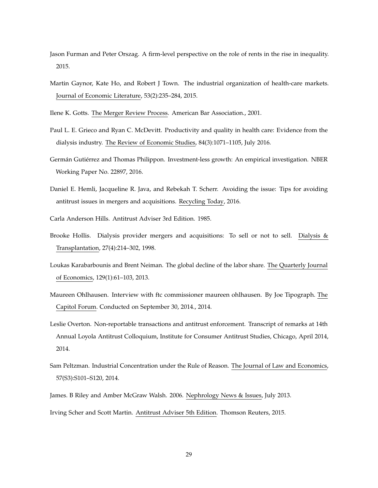- Jason Furman and Peter Orszag. A firm-level perspective on the role of rents in the rise in inequality. 2015.
- Martin Gaynor, Kate Ho, and Robert J Town. The industrial organization of health-care markets. Journal of Economic Literature, 53(2):235–284, 2015.
- Ilene K. Gotts. The Merger Review Process. American Bar Association., 2001.
- Paul L. E. Grieco and Ryan C. McDevitt. Productivity and quality in health care: Evidence from the dialysis industry. The Review of Economic Studies, 84(3):1071–1105, July 2016.
- Germán Gutiérrez and Thomas Philippon. Investment-less growth: An empirical investigation. NBER Working Paper No. 22897, 2016.
- Daniel E. Hemli, Jacqueline R. Java, and Rebekah T. Scherr. Avoiding the issue: Tips for avoiding antitrust issues in mergers and acquisitions. Recycling Today, 2016.
- Carla Anderson Hills. Antitrust Adviser 3rd Edition. 1985.
- Brooke Hollis. Dialysis provider mergers and acquisitions: To sell or not to sell. Dialysis & Transplantation, 27(4):214–302, 1998.
- Loukas Karabarbounis and Brent Neiman. The global decline of the labor share. The Quarterly Journal of Economics, 129(1):61–103, 2013.
- Maureen Ohlhausen. Interview with ftc commissioner maureen ohlhausen. By Joe Tipograph. The Capitol Forum. Conducted on September 30, 2014., 2014.
- Leslie Overton. Non-reportable transactions and antitrust enforcement. Transcript of remarks at 14th Annual Loyola Antitrust Colloquium, Institute for Consumer Antitrust Studies, Chicago, April 2014, 2014.
- Sam Peltzman. Industrial Concentration under the Rule of Reason. The Journal of Law and Economics, 57(S3):S101–S120, 2014.
- James. B Riley and Amber McGraw Walsh. 2006. Nephrology News & Issues, July 2013.
- Irving Scher and Scott Martin. Antitrust Adviser 5th Edition. Thomson Reuters, 2015.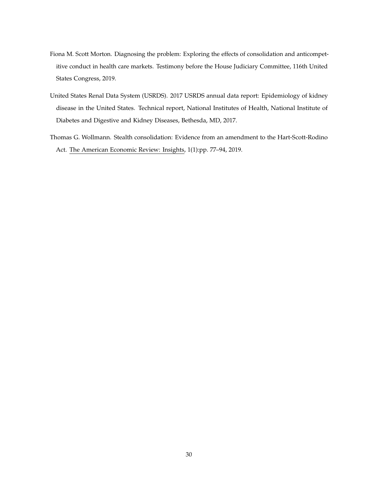- Fiona M. Scott Morton. Diagnosing the problem: Exploring the effects of consolidation and anticompetitive conduct in health care markets. Testimony before the House Judiciary Committee, 116th United States Congress, 2019.
- United States Renal Data System (USRDS). 2017 USRDS annual data report: Epidemiology of kidney disease in the United States. Technical report, National Institutes of Health, National Institute of Diabetes and Digestive and Kidney Diseases, Bethesda, MD, 2017.
- Thomas G. Wollmann. Stealth consolidation: Evidence from an amendment to the Hart-Scott-Rodino Act. The American Economic Review: Insights, 1(1):pp. 77–94, 2019.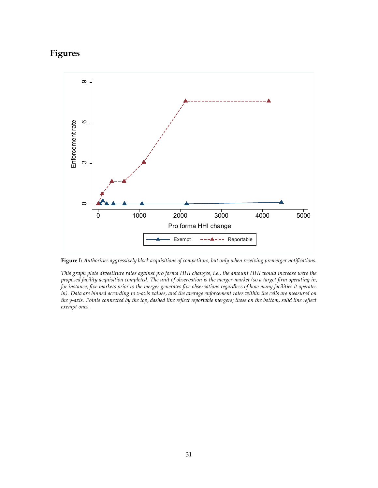## **Figures**



**Figure I:** *Authorities aggressively block acquisitions of competitors, but only when receiving premerger notifications.*

*This graph plots divestiture rates against pro forma HHI changes, i.e., the amount HHI would increase were the proposed facility acquisition completed. The unit of observation is the merger-market (so a target firm operating in, for instance, five markets prior to the merger generates five observations regardless of how many facilities it operates in). Data are binned according to x-axis values, and the average enforcement rates within the cells are measured on the y-axis. Points connected by the top, dashed line reflect reportable mergers; those on the bottom, solid line reflect exempt ones.*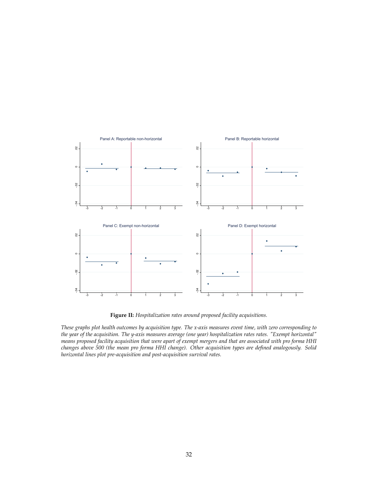

**Figure II:** *Hospitalization rates around proposed facility acquisitions.*

*These graphs plot health outcomes by acquisition type. The x-axis measures event time, with zero corresponding to the year of the acquisition. The y-axis measures average (one year) hospitalization rates rates. "Exempt horizontal" means proposed facility acquisition that were apart of exempt mergers and that are associated with pro forma HHI changes above 500 (the mean pro forma HHI change). Other acquisition types are defined analogously. Solid horizontal lines plot pre-acquisition and post-acquisition survival rates.*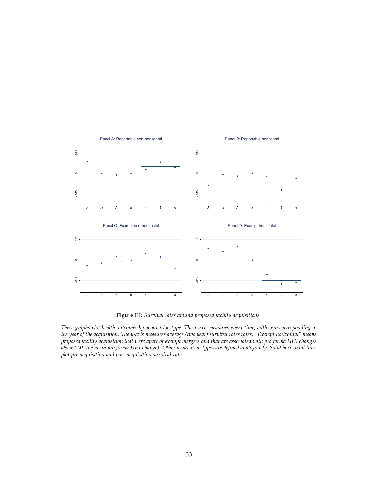

**Figure III:** *Survival rates around proposed facility acquisitions.*

*These graphs plot health outcomes by acquisition type. The x-axis measures event time, with zero corresponding to the year of the acquisition. The y-axis measures average (two year) survival rates rates. "Exempt horizontal" means proposed facility acquisition that were apart of exempt mergers and that are associated with pro forma HHI changes above 500 (the mean pro forma HHI change). Other acquisition types are defined analogously. Solid horizontal lines plot pre-acquisition and post-acquisition survival rates.*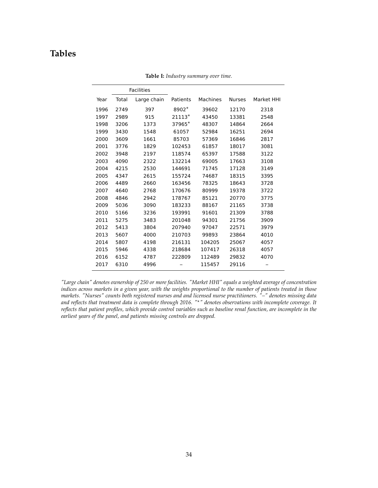## **Tables**

|      |       | <b>Facilities</b> |          |          |               |            |
|------|-------|-------------------|----------|----------|---------------|------------|
| Year | Total | Large chain       | Patients | Machines | <b>Nurses</b> | Market HHI |
| 1996 | 2749  | 397               | 8902 $*$ | 39602    | 12170         | 2318       |
| 1997 | 2989  | 915               | $21113*$ | 43450    | 13381         | 2548       |
| 1998 | 3206  | 1373              | 37965*   | 48307    | 14864         | 2664       |
| 1999 | 3430  | 1548              | 61057    | 52984    | 16251         | 2694       |
| 2000 | 3609  | 1661              | 85703    | 57369    | 16846         | 2817       |
| 2001 | 3776  | 1829              | 102453   | 61857    | 18017         | 3081       |
| 2002 | 3948  | 2197              | 118574   | 65397    | 17588         | 3122       |
| 2003 | 4090  | 2322              | 132214   | 69005    | 17663         | 3108       |
| 2004 | 4215  | 2530              | 144691   | 71745    | 17128         | 3149       |
| 2005 | 4347  | 2615              | 155724   | 74687    | 18315         | 3395       |
| 2006 | 4489  | 2660              | 163456   | 78325    | 18643         | 3728       |
| 2007 | 4640  | 2768              | 170676   | 80999    | 19378         | 3722       |
| 2008 | 4846  | 2942              | 178767   | 85121    | 20770         | 3775       |
| 2009 | 5036  | 3090              | 183233   | 88167    | 21165         | 3738       |
| 2010 | 5166  | 3236              | 193991   | 91601    | 21309         | 3788       |
| 2011 | 5275  | 3483              | 201048   | 94301    | 21756         | 3909       |
| 2012 | 5413  | 3804              | 207940   | 97047    | 22571         | 3979       |
| 2013 | 5607  | 4000              | 210703   | 99893    | 23864         | 4010       |
| 2014 | 5807  | 4198              | 216131   | 104205   | 25067         | 4057       |
| 2015 | 5946  | 4338              | 218684   | 107417   | 26318         | 4057       |
| 2016 | 6152  | 4787              | 222809   | 112489   | 29832         | 4070       |
| 2017 | 6310  | 4996              |          | 115457   | 29116         |            |

**Table I:** *Industry summary over time.*

*"Large chain" denotes ownership of 250 or more facilities. "Market HHI" equals a weighted average of concentration indices across markets in a given year, with the weights proportional to the number of patients treated in those markets. "Nurses" counts both registered nurses and and licensed nurse practitioners. "–" denotes missing data and reflects that treatment data is complete through 2016. "*?*" denotes observations with incomplete coverage. It reflects that patient profiles, which provide control variables such as baseline renal function, are incomplete in the earliest years of the panel, and patients missing controls are dropped.*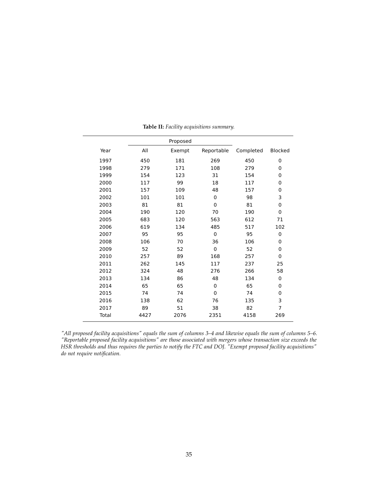|       | Proposed |        |            |           |                |
|-------|----------|--------|------------|-----------|----------------|
| Year  | All      | Exempt | Reportable | Completed | <b>Blocked</b> |
| 1997  | 450      | 181    | 269        | 450       | 0              |
| 1998  | 279      | 171    | 108        | 279       | 0              |
| 1999  | 154      | 123    | 31         | 154       | 0              |
| 2000  | 117      | 99     | 18         | 117       | 0              |
| 2001  | 157      | 109    | 48         | 157       | 0              |
| 2002  | 101      | 101    | 0          | 98        | 3              |
| 2003  | 81       | 81     | 0          | 81        | 0              |
| 2004  | 190      | 120    | 70         | 190       | $\mathbf 0$    |
| 2005  | 683      | 120    | 563        | 612       | 71             |
| 2006  | 619      | 134    | 485        | 517       | 102            |
| 2007  | 95       | 95     | 0          | 95        | 0              |
| 2008  | 106      | 70     | 36         | 106       | $\Omega$       |
| 2009  | 52       | 52     | 0          | 52        | 0              |
| 2010  | 257      | 89     | 168        | 257       | $\Omega$       |
| 2011  | 262      | 145    | 117        | 237       | 25             |
| 2012  | 324      | 48     | 276        | 266       | 58             |
| 2013  | 134      | 86     | 48         | 134       | 0              |
| 2014  | 65       | 65     | 0          | 65        | $\mathbf 0$    |
| 2015  | 74       | 74     | 0          | 74        | 0              |
| 2016  | 138      | 62     | 76         | 135       | 3              |
| 2017  | 89       | 51     | 38         | 82        | 7              |
| Total | 4427     | 2076   | 2351       | 4158      | 269            |
|       |          |        |            |           |                |

**Table II:** *Facility acquisitions summary.*

 $\overline{a}$ 

*"All proposed facility acquisitions" equals the sum of columns 3–4 and likewise equals the sum of columns 5–6. "Reportable proposed facility acquisitions" are those associated with mergers whose transaction size exceeds the HSR thresholds and thus requires the parties to notify the FTC and DOJ. "Exempt proposed facility acquisitions" do not require notification.*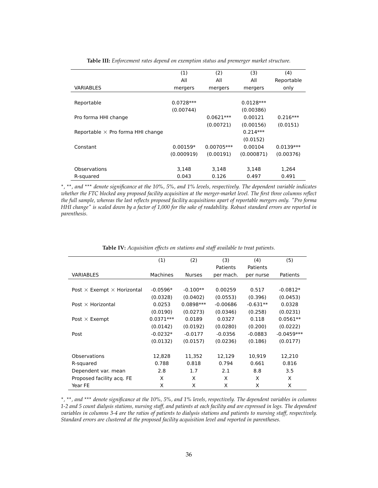|                                          | (1)         | (2)          | (3)         | (4)         |
|------------------------------------------|-------------|--------------|-------------|-------------|
|                                          | All         | All          | All         | Reportable  |
| VARIABLES                                | mergers     | mergers      | mergers     | only        |
|                                          |             |              |             |             |
| Reportable                               | $0.0728***$ |              | $0.0128***$ |             |
|                                          | (0.00744)   |              | (0.00386)   |             |
| Pro forma HHI change                     |             | $0.0621***$  | 0.00121     | $0.216***$  |
|                                          |             | (0.00721)    | (0.00156)   | (0.0151)    |
| Reportable $\times$ Pro forma HHI change |             |              | $0.214***$  |             |
|                                          |             |              | (0.0152)    |             |
| Constant                                 | $0.00159*$  | $0.00705***$ | 0.00104     | $0.0139***$ |
|                                          | (0.000919)  | (0.00191)    | (0.000871)  | (0.00376)   |
|                                          |             |              |             |             |
| Observations                             | 3,148       | 3.148        | 3.148       | 1.264       |
| R-squared                                | 0.043       | 0.126        | 0.497       | 0.491       |

**Table III:** *Enforcement rates depend on exemption status and premerger market structure.*

? *,* ??*, and* ??? *denote significance at the 10%, 5%, and 1% levels, respectively. The dependent variable indicates whether the FTC blocked any proposed facility acquisition at the merger-market level. The first three columns reflect the full sample, whereas the last reflects proposed facility acquisitions apart of reportable mergers only. "Pro forma HHI change" is scaled down by a factor of 1,000 for the sake of readability. Robust standard errors are reported in parenthesis.*

|                                          | (1)         | (2)           | (3)        | (4)        | (5)          |
|------------------------------------------|-------------|---------------|------------|------------|--------------|
|                                          |             |               | Patients   | Patients   |              |
| <b>VARIABLES</b>                         | Machines    | <b>Nurses</b> | per mach.  | per nurse  | Patients     |
|                                          |             |               |            |            |              |
| Post $\times$ Exempt $\times$ Horizontal | $-0.0596*$  | $-0.100**$    | 0.00259    | 0.517      | $-0.0812*$   |
|                                          | (0.0328)    | (0.0402)      | (0.0553)   | (0.396)    | (0.0453)     |
| Post $\times$ Horizontal                 | 0.0253      | $0.0898***$   | $-0.00686$ | $-0.631**$ | 0.0328       |
|                                          | (0.0190)    | (0.0273)      | (0.0346)   | (0.258)    | (0.0231)     |
| Post $\times$ Exempt                     | $0.0371***$ | 0.0189        | 0.0327     | 0.118      | $0.0561**$   |
|                                          | (0.0142)    | (0.0192)      | (0.0280)   | (0.200)    | (0.0222)     |
| Post                                     | $-0.0232*$  | $-0.0177$     | $-0.0356$  | $-0.0883$  | $-0.0459***$ |
|                                          | (0.0132)    | (0.0157)      | (0.0236)   | (0.186)    | (0.0177)     |
|                                          |             |               |            |            |              |
| Observations                             | 12,828      | 11,352        | 12,129     | 10,919     | 12,210       |
| R-squared                                | 0.788       | 0.818         | 0.794      | 0.661      | 0.816        |
| Dependent var. mean                      | 2.8         | 1.7           | 2.1        | 8.8        | 3.5          |
| Proposed facility acq. FE                | X           | X             | X          | X          | X            |
| Year FE                                  | X           | X             | X          | X          | X            |

**Table IV:** *Acquisition effects on stations and staff available to treat patients.*

? *,* ??*, and* ??? *denote significance at the 10%, 5%, and 1% levels, respectively. The dependent variables in columns 1-2 and 5 count dialysis stations, nursing staff, and patients at each facility and are expressed in logs. The dependent variables in columns 3-4 are the ratios of patients to dialysis stations and patients to nursing staff, respectively. Standard errors are clustered at the proposed facility acquisition level and reported in parentheses.*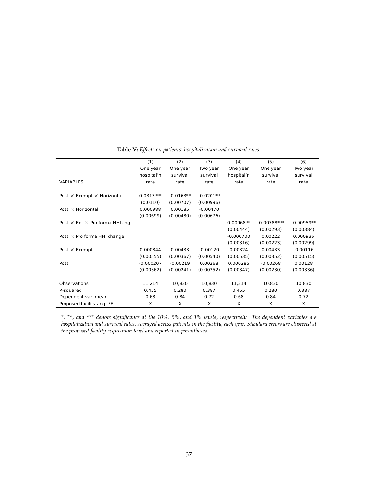|                                               | (1)         | (2)         | (3)         | (4)         | (5)           | (6)          |
|-----------------------------------------------|-------------|-------------|-------------|-------------|---------------|--------------|
|                                               | One year    | One year    | Two year    | One year    | One year      | Two year     |
|                                               | hospital'n  | survival    | survival    | hospital'n  | survival      | survival     |
| <b>VARIABLES</b>                              | rate        | rate        | rate        | rate        | rate          | rate         |
|                                               |             |             |             |             |               |              |
| Post $\times$ Exempt $\times$ Horizontal      | $0.0313***$ | $-0.0163**$ | $-0.0201**$ |             |               |              |
|                                               | (0.0110)    | (0.00707)   | (0.00996)   |             |               |              |
| Post $\times$ Horizontal                      | 0.000988    | 0.00185     | $-0.00470$  |             |               |              |
|                                               | (0.00699)   | (0.00480)   | (0.00676)   |             |               |              |
| Post $\times$ Ex. $\times$ Pro forma HHI chg. |             |             |             | $0.00968**$ | $-0.00788***$ | $-0.00959**$ |
|                                               |             |             |             | (0.00444)   | (0.00293)     | (0.00384)    |
| Post $\times$ Pro forma HHI change            |             |             |             | $-0.000700$ | 0.00222       | 0.000936     |
|                                               |             |             |             | (0.00316)   | (0.00223)     | (0.00299)    |
| Post $\times$ Exempt                          | 0.000844    | 0.00433     | $-0.00120$  | 0.00324     | 0.00433       | $-0.00116$   |
|                                               | (0.00555)   | (0.00367)   | (0.00540)   | (0.00535)   | (0.00352)     | (0.00515)    |
| Post                                          | $-0.000207$ | $-0.00219$  | 0.00268     | 0.000285    | $-0.00268$    | 0.00128      |
|                                               | (0.00362)   | (0.00241)   | (0.00352)   | (0.00347)   | (0.00230)     | (0.00336)    |
| Observations                                  | 11,214      | 10,830      | 10,830      | 11.214      | 10,830        | 10,830       |
| R-squared                                     | 0.455       | 0.280       | 0.387       | 0.455       | 0.280         | 0.387        |
| Dependent var. mean                           | 0.68        | 0.84        | 0.72        | 0.68        | 0.84          | 0.72         |
| Proposed facility acq. FE                     | X           | X           | X           | X           | X             | X            |
|                                               |             |             |             |             |               |              |

**Table V:** *Effects on patients' hospitalization and survival rates.*

\*, \*\*, and \*\*\* denote significance at the 10%, 5%, and 1% levels, respectively. The dependent variables are *hospitalization and survival rates, averaged across patients in the facility, each year. Standard errors are clustered at the proposed facility acquisition level and reported in parentheses.*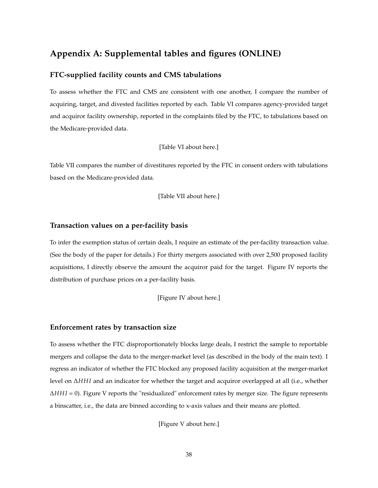## **Appendix A: Supplemental tables and figures (ONLINE)**

#### **FTC-supplied facility counts and CMS tabulations**

To assess whether the FTC and CMS are consistent with one another, I compare the number of acquiring, target, and divested facilities reported by each. Table VI compares agency-provided target and acquiror facility ownership, reported in the complaints filed by the FTC, to tabulations based on the Medicare-provided data.

[Table VI about here.]

Table VII compares the number of divestitures reported by the FTC in consent orders with tabulations based on the Medicare-provided data.

[Table VII about here.]

#### **Transaction values on a per-facility basis**

To infer the exemption status of certain deals, I require an estimate of the per-facility transaction value. (See the body of the paper for details.) For thirty mergers associated with over 2,500 proposed facility acquisitions, I directly observe the amount the acquiror paid for the target. Figure IV reports the distribution of purchase prices on a per-facility basis.

[Figure IV about here.]

#### **Enforcement rates by transaction size**

To assess whether the FTC disproportionately blocks large deals, I restrict the sample to reportable mergers and collapse the data to the merger-market level (as described in the body of the main text). I regress an indicator of whether the FTC blocked any proposed facility acquisition at the merger-market level on ∆*HH I* and an indicator for whether the target and acquiror overlapped at all (i.e., whether ∆*HH I* = 0). Figure V reports the "residualized" enforcement rates by merger size. The figure represents a binscatter, i.e., the data are binned according to x-axis values and their means are plotted.

[Figure V about here.]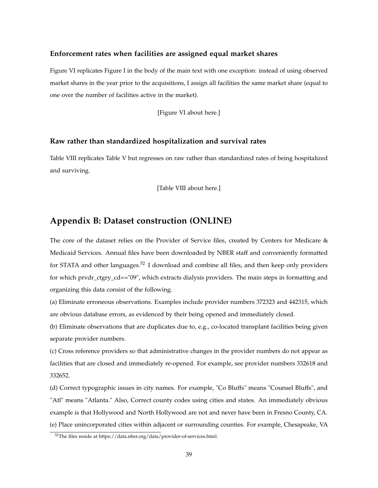#### **Enforcement rates when facilities are assigned equal market shares**

Figure VI replicates Figure I in the body of the main text with one exception: instead of using observed market shares in the year prior to the acquisitions, I assign all facilities the same market share (equal to one over the number of facilities active in the market).

[Figure VI about here.]

#### **Raw rather than standardized hospitalization and survival rates**

Table VIII replicates Table V but regresses on raw rather than standardized rates of being hospitalized and surviving.

[Table VIII about here.]

## **Appendix B: Dataset construction (ONLINE)**

The core of the dataset relies on the Provider of Service files, created by Centers for Medicare & Medicaid Services. Annual files have been downloaded by NBER staff and conveniently formatted for STATA and other languages.<sup>52</sup> I download and combine all files, and then keep only providers for which prvdr\_ctgry\_cd=="09", which extracts dialysis providers. The main steps in formatting and organizing this data consist of the following.

(a) Eliminate erroneous observations. Examples include provider numbers 372323 and 442315, which are obvious database errors, as evidenced by their being opened and immediately closed.

(b) Eliminate observations that are duplicates due to, e.g., co-located transplant facilities being given separate provider numbers.

(c) Cross reference providers so that administrative changes in the provider numbers do not appear as facilities that are closed and immediately re-opened. For example, see provider numbers 332618 and 332652.

(d) Correct typographic issues in city names. For example, "Co Bluffs" means "Counsel Bluffs", and "Atl" means "Atlanta." Also, Correct county codes using cities and states. An immediately obvious example is that Hollywood and North Hollywood are not and never have been in Fresno County, CA. (e) Place unincorporated cities within adjacent or surrounding counties. For example, Chesapeake, VA

<sup>52</sup>The files reside at https://data.nber.org/data/provider-of-services.html.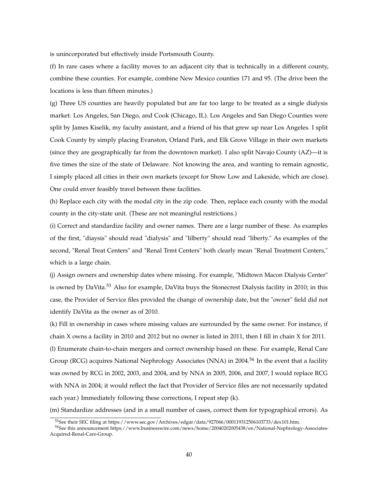is unincorporated but effectively inside Portsmouth County.

(f) In rare cases where a facility moves to an adjacent city that is technically in a different county, combine these counties. For example, combine New Mexico counties 171 and 95. (The drive been the locations is less than fifteen minutes.)

(g) Three US counties are heavily populated but are far too large to be treated as a single dialysis market: Los Angeles, San Diego, and Cook (Chicago, IL). Los Angeles and San Diego Counties were split by James Kiselik, my faculty assistant, and a friend of his that grew up near Los Angeles. I split Cook County by simply placing Evanston, Orland Park, and Elk Grove Village in their own markets (since they are geographically far from the downtown market). I also split Navajo County (AZ)—it is five times the size of the state of Delaware. Not knowing the area, and wanting to remain agnostic, I simply placed all cities in their own markets (except for Show Low and Lakeside, which are close). One could enver feasibly travel between these facilities.

(h) Replace each city with the modal city in the zip code. Then, replace each county with the modal county in the city-state unit. (These are not meaningful restrictions.)

(i) Correct and standardize facility and owner names. There are a large number of these. As examples of the first, "diaysis" should read "dialysis" and "lilberty" should read "liberty." As examples of the second, "Renal Treat Centers" and "Renal Trmt Centers" both clearly mean "Renal Treatment Centers," which is a large chain.

(j) Assign owners and ownership dates where missing. For example, "Midtown Macon Dialysis Center" is owned by DaVita.<sup>53</sup> Also for example, DaVita buys the Stonecrest Dialysis facility in 2010; in this case, the Provider of Service files provided the change of ownership date, but the "owner" field did not identify DaVita as the owner as of 2010.

(k) Fill in ownership in cases where missing values are surrounded by the same owner. For instance, if chain X owns a facility in 2010 and 2012 but no owner is listed in 2011, then I fill in chain X for 2011.

(l) Enumerate chain-to-chain mergers and correct ownership based on these. For example, Renal Care Group (RCG) acquires National Nephrology Associates (NNA) in 2004.<sup>54</sup> In the event that a facility was owned by RCG in 2002, 2003, and 2004, and by NNA in 2005, 2006, and 2007, I would replace RCG with NNA in 2004; it would reflect the fact that Provider of Service files are not necessarily updated each year.) Immediately following these corrections, I repeat step (k).

(m) Standardize addresses (and in a small number of cases, correct them for typographical errors). As

<sup>53</sup>See their SEC filing at https://www.sec.gov/Archives/edgar/data/927066/000119312506103733/dex101.htm.

<sup>54</sup>See this announcement https://www.businesswire.com/news/home/20040202005438/en/National-Nephrology-Associates-Acquired-Renal-Care-Group.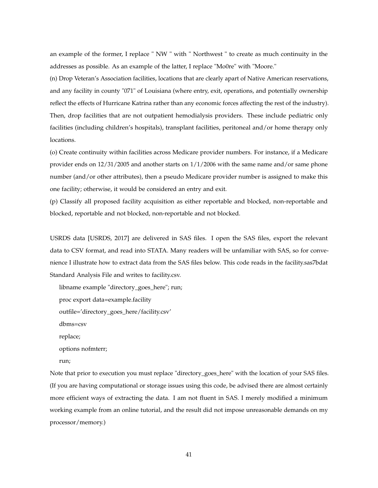an example of the former, I replace " NW " with " Northwest " to create as much continuity in the addresses as possible. As an example of the latter, I replace "Mo0re" with "Moore."

(n) Drop Veteran's Association facilities, locations that are clearly apart of Native American reservations, and any facility in county "071" of Louisiana (where entry, exit, operations, and potentially ownership reflect the effects of Hurricane Katrina rather than any economic forces affecting the rest of the industry). Then, drop facilities that are not outpatient hemodialysis providers. These include pediatric only facilities (including children's hospitals), transplant facilities, peritoneal and/or home therapy only locations.

(o) Create continuity within facilities across Medicare provider numbers. For instance, if a Medicare provider ends on 12/31/2005 and another starts on 1/1/2006 with the same name and/or same phone number (and/or other attributes), then a pseudo Medicare provider number is assigned to make this one facility; otherwise, it would be considered an entry and exit.

(p) Classify all proposed facility acquisition as either reportable and blocked, non-reportable and blocked, reportable and not blocked, non-reportable and not blocked.

USRDS data [USRDS, 2017] are delivered in SAS files. I open the SAS files, export the relevant data to CSV format, and read into STATA. Many readers will be unfamiliar with SAS, so for convenience I illustrate how to extract data from the SAS files below. This code reads in the facility.sas7bdat Standard Analysis File and writes to facility.csv.

libname example "directory\_goes\_here"; run;

- proc export data=example.facility
- outfile='directory\_goes\_here/facility.csv'

dbms=csv

replace;

options nofmterr;

run;

Note that prior to execution you must replace "directory\_goes\_here" with the location of your SAS files. (If you are having computational or storage issues using this code, be advised there are almost certainly more efficient ways of extracting the data. I am not fluent in SAS. I merely modified a minimum working example from an online tutorial, and the result did not impose unreasonable demands on my processor/memory.)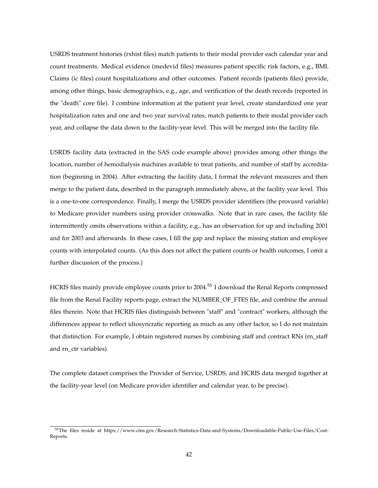USRDS treatment histories (rxhist files) match patients to their modal provider each calendar year and count treatments. Medical evidence (medevid files) measures patient specific risk factors, e.g., BMI. Claims (ic files) count hospitalizations and other outcomes. Patient records (patients files) provide, among other things, basic demographics, e.g., age, and verification of the death records (reported in the "death" core file). I combine information at the patient year level, create standardized one year hospitalization rates and one and two year survival rates, match patients to their modal provider each year, and collapse the data down to the facility-year level. This will be merged into the facility file.

USRDS facility data (extracted in the SAS code example above) provides among other things the location, number of hemodialysis machines available to treat patients, and number of staff by accreditation (beginning in 2004). After extracting the facility data, I format the relevant measures and then merge to the patient data, described in the paragraph immediately above, at the facility year level. This is a one-to-one correspondence. Finally, I merge the USRDS provider identifiers (the provusrd variable) to Medicare provider numbers using provider crosswalks. Note that in rare cases, the facility file intermittently omits observations within a facility, e.g., has an observation for up and including 2001 and for 2003 and afterwards. In these cases, I fill the gap and replace the missing station and employee counts with interpolated counts. (As this does not affect the patient counts or health outcomes, I omit a further discussion of the process.)

HCRIS files mainly provide employee counts prior to 2004.<sup>55</sup> I download the Renal Reports compressed file from the Renal Facility reports page, extract the NUMBER\_OF\_FTES file, and combine the annual files therein. Note that HCRIS files distinguish between "staff" and "contract" workers, although the differences appear to reflect idiosyncratic reporting as much as any other factor, so I do not maintain that distinction. For example, I obtain registered nurses by combining staff and contract RNs (rn\_staff and rn\_ctr variables).

The complete dataset comprises the Provider of Service, USRDS, and HCRIS data merged together at the facility-year level (on Medicare provider identifier and calendar year, to be precise).

<sup>55</sup>The files reside at https://www.cms.gov/Research-Statistics-Data-and-Systems/Downloadable-Public-Use-Files/Cost-Reports.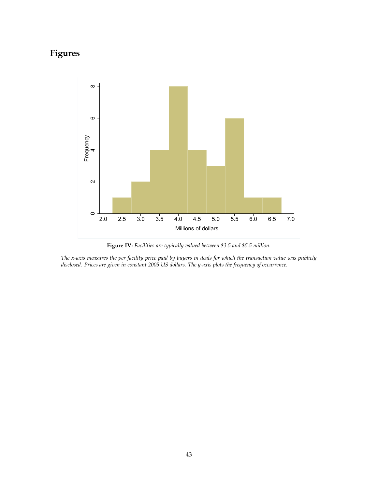# **Figures**



**Figure IV:** *Facilities are typically valued between \$3.5 and \$5.5 million.*

*The x-axis measures the per facility price paid by buyers in deals for which the transaction value was publicly disclosed. Prices are given in constant 2005 US dollars. The y-axis plots the frequency of occurrence.*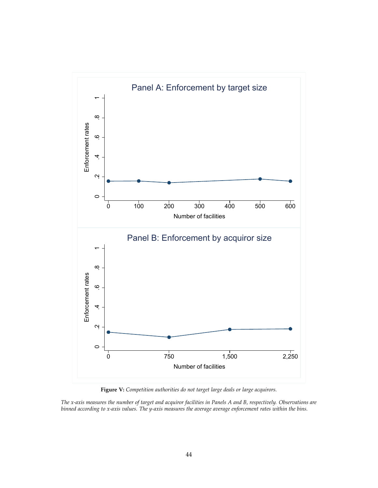

**Figure V:** *Competition authorities do not target large deals or large acquirors.*

*The x-axis measures the number of target and acquiror facilities in Panels A and B, respectively. Observations are binned according to x-axis values. The y-axis measures the average average enforcement rates within the bins.*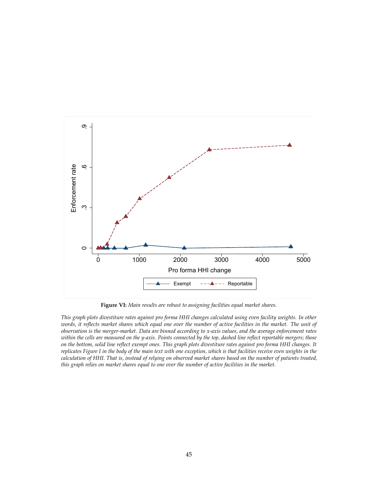

**Figure VI:** *Main results are robust to assigning facilities equal market shares.*

*This graph plots divestiture rates against pro forma HHI changes calculated using even facility weights. In other words, it reflects market shares which equal one over the number of active facilities in the market. The unit of observation is the merger-market. Data are binned according to x-axis values, and the average enforcement rates within the cells are measured on the y-axis. Points connected by the top, dashed line reflect reportable mergers; those on the bottom, solid line reflect exempt ones. This graph plots divestiture rates against pro forma HHI changes. It replicates Figure I in the body of the main text with one exception, which is that facilities receive even weights in the calculation of HHI. That is, instead of relying on observed market shares based on the number of patients treated, this graph relies on market shares equal to one over the number of active facilities in the market.*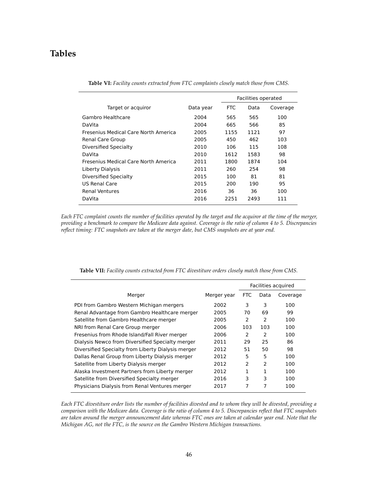## **Tables**

|                                      |           | Facilities operated |      |          |
|--------------------------------------|-----------|---------------------|------|----------|
| Target or acquiror                   | Data year | <b>FTC</b>          | Data | Coverage |
| Gambro Healthcare                    | 2004      | 565                 | 565  | 100      |
| DaVita                               | 2004      | 665                 | 566  | 85       |
| Fresenius Medical Care North America | 2005      | 1155                | 1121 | 97       |
| Renal Care Group                     | 2005      | 450                 | 462  | 103      |
| Diversified Specialty                | 2010      | 106                 | 115  | 108      |
| DaVita                               | 2010      | 1612                | 1583 | 98       |
| Fresenius Medical Care North America | 2011      | 1800                | 1874 | 104      |
| Liberty Dialysis                     | 2011      | 260                 | 254  | 98       |
| Diversified Specialty                | 2015      | 100                 | 81   | 81       |
| US Renal Care                        | 2015      | 200                 | 190  | 95       |
| <b>Renal Ventures</b>                | 2016      | 36                  | 36   | 100      |
| DaVita                               | 2016      | 2251                | 2493 | 111      |

**Table VI:** *Facility counts extracted from FTC complaints closely match those from CMS.*

*Each FTC complaint counts the number of facilities operated by the target and the acquiror at the time of the merger, providing a benchmark to compare the Medicare data against. Coverage is the ratio of column 4 to 5. Discrepancies reflect timing: FTC snapshots are taken at the merger date, but CMS snapshots are at year end.*

|                                                    |             | Facilities acquired |               |          |
|----------------------------------------------------|-------------|---------------------|---------------|----------|
| Merger                                             | Merger year | FTC                 | Data          | Coverage |
| PDI from Gambro Western Michigan mergers           | 2002        | 3                   | 3             | 100      |
| Renal Advantage from Gambro Healthcare merger      | 2005        | 70                  | 69            | 99       |
| Satellite from Gambro Healthcare merger            | 2005        | 2                   | 2             | 100      |
| NRI from Renal Care Group merger                   | 2006        | 103                 | 103           | 100      |
| Fresenius from Rhode Island/Fall River merger      | 2006        | 2                   | 2             | 100      |
| Dialysis Newco from Diversified Specialty merger   | 2011        | 29                  | 25            | 86       |
| Diversified Specialty from Liberty Dialysis merger | 2012        | 51                  | 50            | 98       |
| Dallas Renal Group from Liberty Dialysis merger    | 2012        | 5                   | 5             | 100      |
| Satellite from Liberty Dialysis merger             | 2012        | $\mathcal{P}$       | $\mathcal{P}$ | 100      |
| Alaska Investment Partners from Liberty merger     | 2012        |                     | 1             | 100      |
| Satellite from Diversified Specialty merger        | 2016        | 3                   | 3             | 100      |
| Physicians Dialysis from Renal Ventures merger     | 2017        | 7                   | 7             | 100      |
|                                                    |             |                     |               |          |

**Table VII:** *Facility counts extracted from FTC divestiture orders closely match those from CMS.*

*Each FTC divestiture order lists the number of facilities divested and to whom they will be divested, providing a comparison with the Medicare data. Coverage is the ratio of column 4 to 5. Discrepancies reflect that FTC snapshots are taken around the merger announcement date whereas FTC ones are taken at calendar year end. Note that the Michigan AG, not the FTC, is the source on the Gambro Western Michigan transactions.*